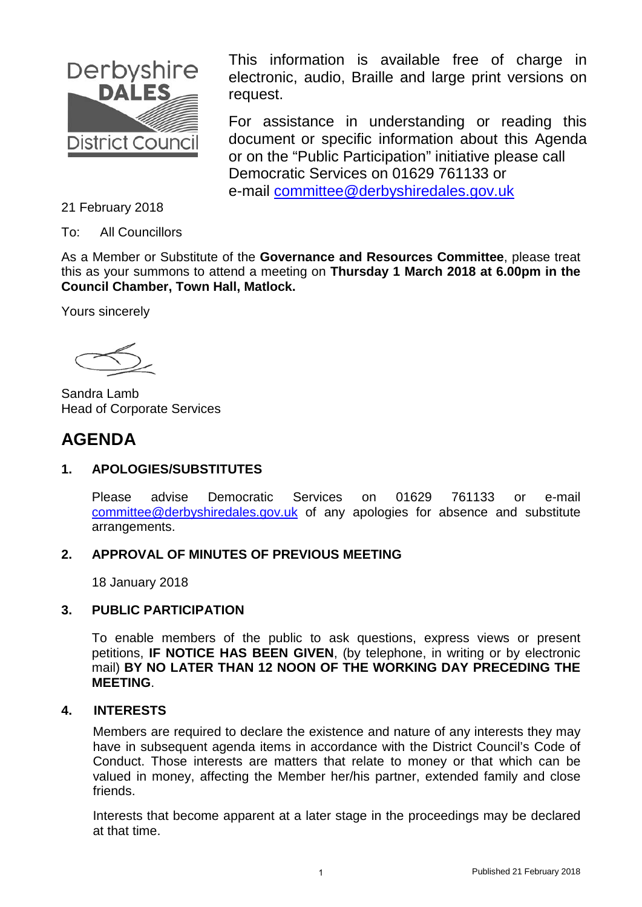

This information is available free of charge in electronic, audio, Braille and large print versions on request.

For assistance in understanding or reading this document or specific information about this Agenda or on the "Public Participation" initiative please call Democratic Services on 01629 761133 or e-mail [committee@derbyshiredales.gov.uk](mailto:committee@derbyshiredales.gov.uk) 

21 February 2018

To: All Councillors

As a Member or Substitute of the **Governance and Resources Committee**, please treat this as your summons to attend a meeting on **Thursday 1 March 2018 at 6.00pm in the Council Chamber, Town Hall, Matlock.**

Yours sincerely

Sandra Lamb Head of Corporate Services

## **AGENDA**

## **1. APOLOGIES/SUBSTITUTES**

Please advise Democratic Services on 01629 761133 or e-mail [committee@derbyshiredales.gov.uk](mailto:committee@derbyshiredales.gov.uk) of any apologies for absence and substitute arrangements.

#### **2. APPROVAL OF MINUTES OF PREVIOUS MEETING**

18 January 2018

### **3. PUBLIC PARTICIPATION**

To enable members of the public to ask questions, express views or present petitions, **IF NOTICE HAS BEEN GIVEN**, (by telephone, in writing or by electronic mail) **BY NO LATER THAN 12 NOON OF THE WORKING DAY PRECEDING THE MEETING**.

#### **4. INTERESTS**

Members are required to declare the existence and nature of any interests they may have in subsequent agenda items in accordance with the District Council's Code of Conduct. Those interests are matters that relate to money or that which can be valued in money, affecting the Member her/his partner, extended family and close friends.

Interests that become apparent at a later stage in the proceedings may be declared at that time.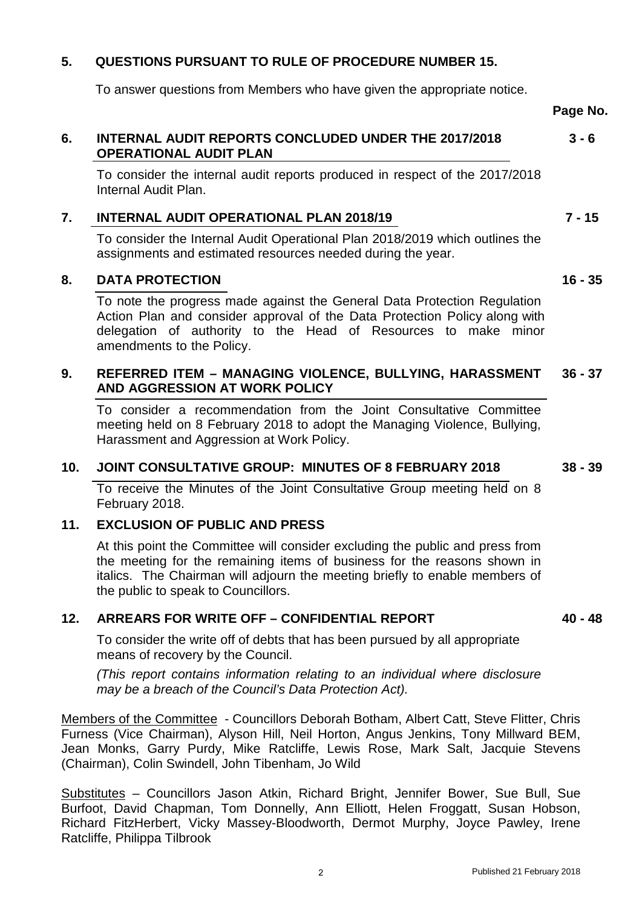## <span id="page-1-0"></span>**5. QUESTIONS PURSUANT TO RULE OF PROCEDURE NUMBER 15.**

To answer questions from Members who have given the appropriate notice.

**Page No.**

#### **6. [INTERNAL AUDIT REPORTS CONCLUDED UNDER THE 2017/2018](#page-2-0) OPERATIONAL AUDIT PLAN 3 - 6**

To consider the internal audit reports produced in respect of the 2017/2018 Internal Audit Plan.

## **7. [INTERNAL AUDIT OPERATIONAL PLAN 2018/19](#page-6-0)**

To consider the Internal Audit Operational Plan 2018/2019 which outlines the assignments and estimated resources needed during the year.

### **8. [DATA PROTECTION](#page-15-0)**

To note the progress made against the General Data Protection Regulation Action Plan and consider approval of the Data Protection Policy along with delegation of authority to the Head of Resources to make minor amendments to the Policy.

#### **9. [REFERRED ITEM – MANAGING VIOLENCE, BULLYING, HARASSMENT](#page-35-0) AND AGGRESSION AT WORK POLICY 36 - 37**

To consider a recommendation from the Joint Consultative Committee meeting held on 8 February 2018 to adopt the Managing Violence, Bullying, Harassment and Aggression at Work Policy.

### **10. [JOINT CONSULTATIVE GROUP: MINUTES OF 8 FEBRUARY 2018](#page-37-0)**

To receive the Minutes of the Joint Consultative Group meeting held on 8 February 2018.

#### **11. EXCLUSION OF PUBLIC AND PRESS**

At this point the Committee will consider excluding the public and press from the meeting for the remaining items of business for the reasons shown in italics. The Chairman will adjourn the meeting briefly to enable members of the public to speak to Councillors.

#### **12. ARREARS FOR WRITE OFF – CONFIDENTIAL REPORT**

To consider the write off of debts that has been pursued by all appropriate means of recovery by the Council.

*(This report contains information relating to an individual where disclosure may be a breach of the Council's Data Protection Act).*

Members of the Committee - Councillors Deborah Botham, Albert Catt, Steve Flitter, Chris Furness (Vice Chairman), Alyson Hill, Neil Horton, Angus Jenkins, Tony Millward BEM, Jean Monks, Garry Purdy, Mike Ratcliffe, Lewis Rose, Mark Salt, Jacquie Stevens (Chairman), Colin Swindell, John Tibenham, Jo Wild

Substitutes – Councillors Jason Atkin, Richard Bright, Jennifer Bower, Sue Bull, Sue Burfoot, David Chapman, Tom Donnelly, Ann Elliott, Helen Froggatt, Susan Hobson, Richard FitzHerbert, Vicky Massey-Bloodworth, Dermot Murphy, Joyce Pawley, Irene Ratcliffe, Philippa Tilbrook

**40 - 48**

**38 - 39**

**16 - 35**

**7 - 15**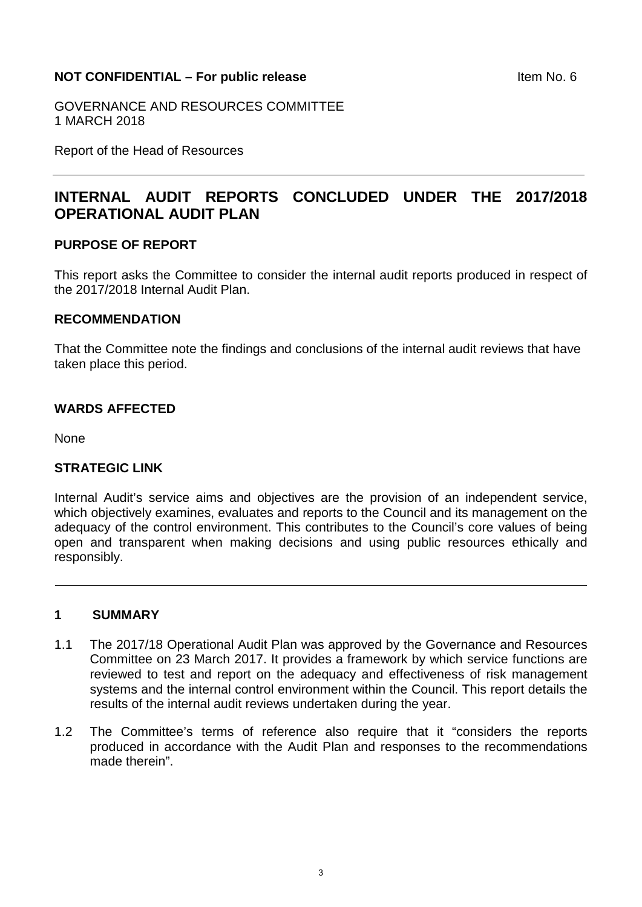#### <span id="page-2-0"></span>**NOT CONFIDENTIAL – For public release Internal CONFIDENTIAL – For public release**

GOVERNANCE AND RESOURCES COMMITTEE 1 MARCH 2018

Report of the Head of Resources

## **INTERNAL AUDIT REPORTS CONCLUDED UNDER THE 2017/2018 OPERATIONAL AUDIT PLAN**

#### **PURPOSE OF REPORT**

This report asks the Committee to consider the internal audit reports produced in respect of the 2017/2018 Internal Audit Plan.

#### **RECOMMENDATION**

That the Committee note the findings and conclusions of the internal audit reviews that have taken place this period.

#### **WARDS AFFECTED**

**None** 

#### **STRATEGIC LINK**

Internal Audit's service aims and objectives are the provision of an independent service, which objectively examines, evaluates and reports to the Council and its management on the adequacy of the control environment. This contributes to the Council's core values of being open and transparent when making decisions and using public resources ethically and responsibly.

#### **1 SUMMARY**

- 1.1 The 2017/18 Operational Audit Plan was approved by the Governance and Resources Committee on 23 March 2017. It provides a framework by which service functions are reviewed to test and report on the adequacy and effectiveness of risk management systems and the internal control environment within the Council. This report details the results of the internal audit reviews undertaken during the year.
- 1.2 The Committee's terms of reference also require that it "considers the reports produced in accordance with the Audit Plan and responses to the recommendations made therein".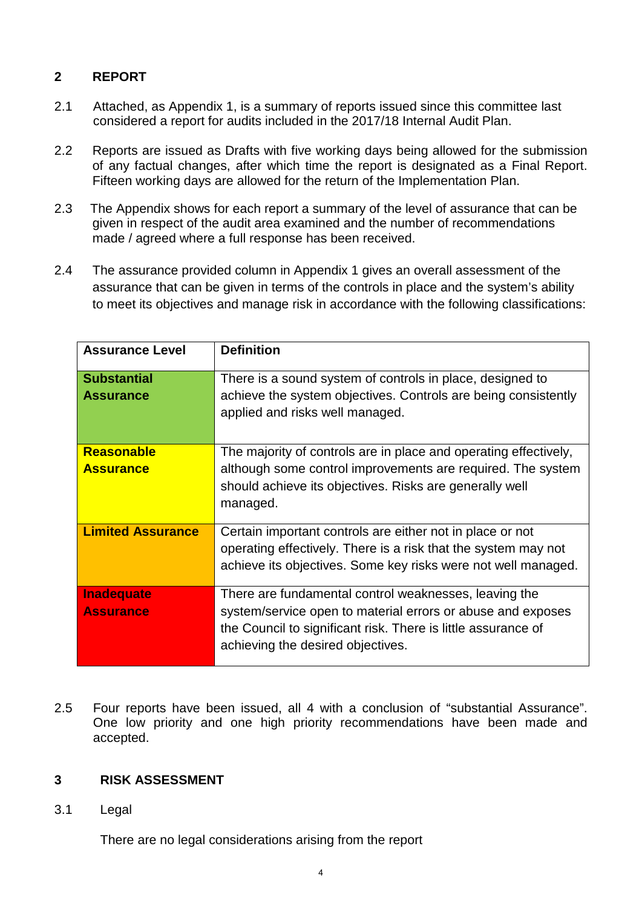## **2 REPORT**

- 2.1 Attached, as Appendix 1, is a summary of reports issued since this committee last considered a report for audits included in the 2017/18 Internal Audit Plan.
- 2.2 Reports are issued as Drafts with five working days being allowed for the submission of any factual changes, after which time the report is designated as a Final Report. Fifteen working days are allowed for the return of the Implementation Plan.
- 2.3 The Appendix shows for each report a summary of the level of assurance that can be given in respect of the audit area examined and the number of recommendations made / agreed where a full response has been received.
- 2.4 The assurance provided column in Appendix 1 gives an overall assessment of the assurance that can be given in terms of the controls in place and the system's ability to meet its objectives and manage risk in accordance with the following classifications:

| <b>Assurance Level</b>                 | <b>Definition</b>                                                                                                                                                                                                          |
|----------------------------------------|----------------------------------------------------------------------------------------------------------------------------------------------------------------------------------------------------------------------------|
| <b>Substantial</b><br><b>Assurance</b> | There is a sound system of controls in place, designed to<br>achieve the system objectives. Controls are being consistently<br>applied and risks well managed.                                                             |
| <b>Reasonable</b><br><b>Assurance</b>  | The majority of controls are in place and operating effectively,<br>although some control improvements are required. The system<br>should achieve its objectives. Risks are generally well<br>managed.                     |
| <b>Limited Assurance</b>               | Certain important controls are either not in place or not<br>operating effectively. There is a risk that the system may not<br>achieve its objectives. Some key risks were not well managed.                               |
| <b>Inadequate</b><br><b>Assurance</b>  | There are fundamental control weaknesses, leaving the<br>system/service open to material errors or abuse and exposes<br>the Council to significant risk. There is little assurance of<br>achieving the desired objectives. |

2.5 Four reports have been issued, all 4 with a conclusion of "substantial Assurance". One low priority and one high priority recommendations have been made and accepted.

## **3 RISK ASSESSMENT**

3.1 Legal

There are no legal considerations arising from the report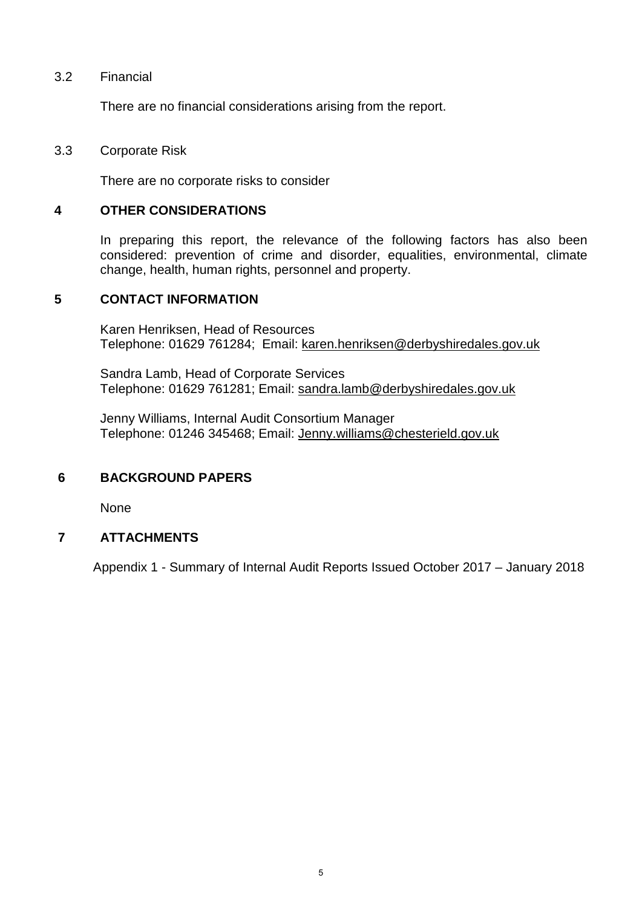#### 3.2 Financial

There are no financial considerations arising from the report.

#### 3.3 Corporate Risk

There are no corporate risks to consider

#### **4 OTHER CONSIDERATIONS**

In preparing this report, the relevance of the following factors has also been considered: prevention of crime and disorder, equalities, environmental, climate change, health, human rights, personnel and property.

#### **5 CONTACT INFORMATION**

Karen Henriksen, Head of Resources Telephone: 01629 761284; Email: [karen.henriksen@derbyshiredales.gov.uk](mailto:karen.henriksen@derbyshiredales.gov.uk)

Sandra Lamb, Head of Corporate Services Telephone: 01629 761281; Email: [sandra.lamb@derbyshiredales.gov.uk](mailto:sandra.lamb@derbyshiredales.gov.uk)

Jenny Williams, Internal Audit Consortium Manager Telephone: 01246 345468; Email: [Jenny.williams@chesterield.gov.uk](mailto:Jenny.williams@chesterield.gov.uk)

#### **6 BACKGROUND PAPERS**

None

#### **7 ATTACHMENTS**

Appendix 1 - Summary of Internal Audit Reports Issued October 2017 – January 2018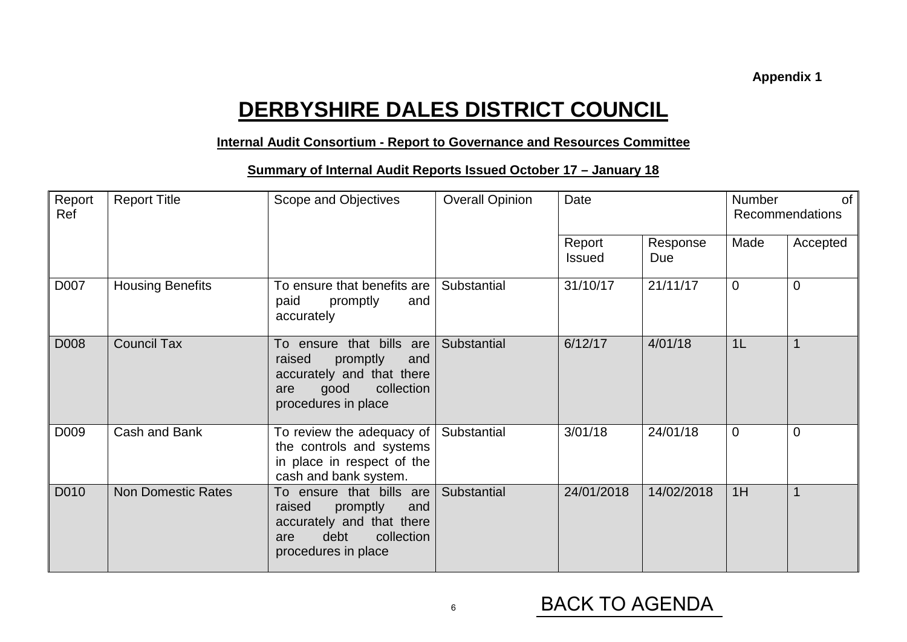# **DERBYSHIRE DALES DISTRICT COUNCIL**

### **Internal Audit Consortium - Report to Governance and Resources Committee**

## **Summary of Internal Audit Reports Issued October 17 – January 18**

| Report<br>Ref | <b>Report Title</b>       | Scope and Objectives                                                                                                                   | <b>Overall Opinion</b> | Date                    |                 | <b>Number</b><br>0f<br>Recommendations |                |  |
|---------------|---------------------------|----------------------------------------------------------------------------------------------------------------------------------------|------------------------|-------------------------|-----------------|----------------------------------------|----------------|--|
|               |                           |                                                                                                                                        |                        | Report<br><b>Issued</b> | Response<br>Due | Made                                   | Accepted       |  |
| D007          | <b>Housing Benefits</b>   | To ensure that benefits are<br>paid<br>promptly<br>and<br>accurately                                                                   | Substantial            | 31/10/17                | 21/11/17        | $\Omega$                               | $\Omega$       |  |
| D008          | <b>Council Tax</b>        | To ensure that bills are<br>raised<br>promptly<br>and<br>accurately and that there<br>collection<br>good<br>are<br>procedures in place | Substantial            | 6/12/17                 | 4/01/18         | 1 <sub>L</sub>                         | $\mathbf{1}$   |  |
| D009          | Cash and Bank             | To review the adequacy of<br>the controls and systems<br>in place in respect of the<br>cash and bank system.                           | Substantial            | 3/01/18                 | 24/01/18        | $\overline{0}$                         | $\overline{0}$ |  |
| D010          | <b>Non Domestic Rates</b> | To ensure that bills are<br>raised<br>promptly<br>and<br>accurately and that there<br>debt<br>collection<br>are<br>procedures in place | Substantial            | 24/01/2018              | 14/02/2018      | 1H                                     | $\mathbf{1}$   |  |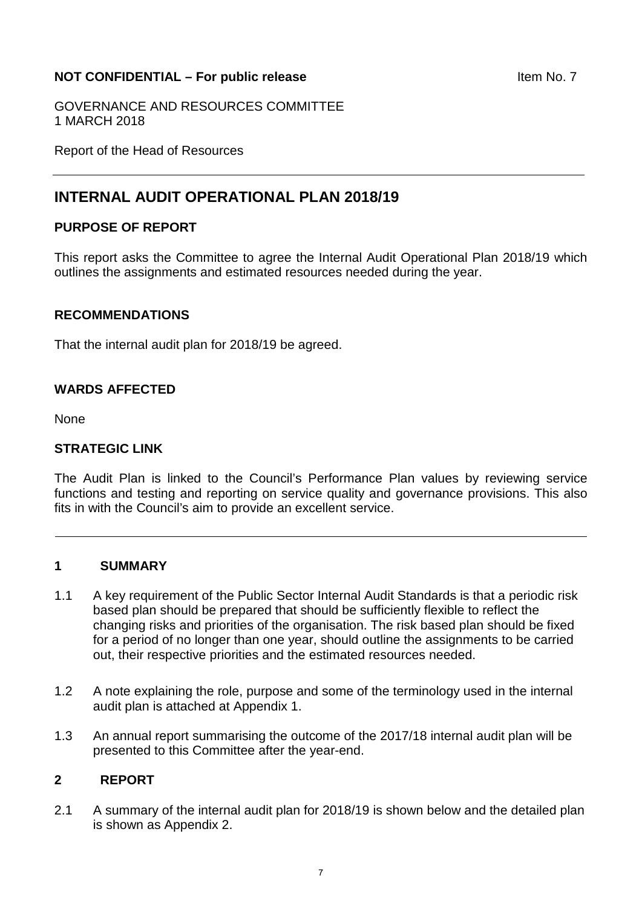### <span id="page-6-0"></span>**NOT CONFIDENTIAL – For public release and a set of the SNOT CONFIDENTIAL – For public release**

GOVERNANCE AND RESOURCES COMMITTEE 1 MARCH 2018

Report of the Head of Resources

## **INTERNAL AUDIT OPERATIONAL PLAN 2018/19**

#### **PURPOSE OF REPORT**

This report asks the Committee to agree the Internal Audit Operational Plan 2018/19 which outlines the assignments and estimated resources needed during the year.

#### **RECOMMENDATIONS**

That the internal audit plan for 2018/19 be agreed.

#### **WARDS AFFECTED**

None

#### **STRATEGIC LINK**

The Audit Plan is linked to the Council's Performance Plan values by reviewing service functions and testing and reporting on service quality and governance provisions. This also fits in with the Council's aim to provide an excellent service.

#### **1 SUMMARY**

- 1.1 A key requirement of the Public Sector Internal Audit Standards is that a periodic risk based plan should be prepared that should be sufficiently flexible to reflect the changing risks and priorities of the organisation. The risk based plan should be fixed for a period of no longer than one year, should outline the assignments to be carried out, their respective priorities and the estimated resources needed.
- 1.2 A note explaining the role, purpose and some of the terminology used in the internal audit plan is attached at Appendix 1.
- 1.3 An annual report summarising the outcome of the 2017/18 internal audit plan will be presented to this Committee after the year-end.

#### **2 REPORT**

2.1 A summary of the internal audit plan for 2018/19 is shown below and the detailed plan is shown as Appendix 2.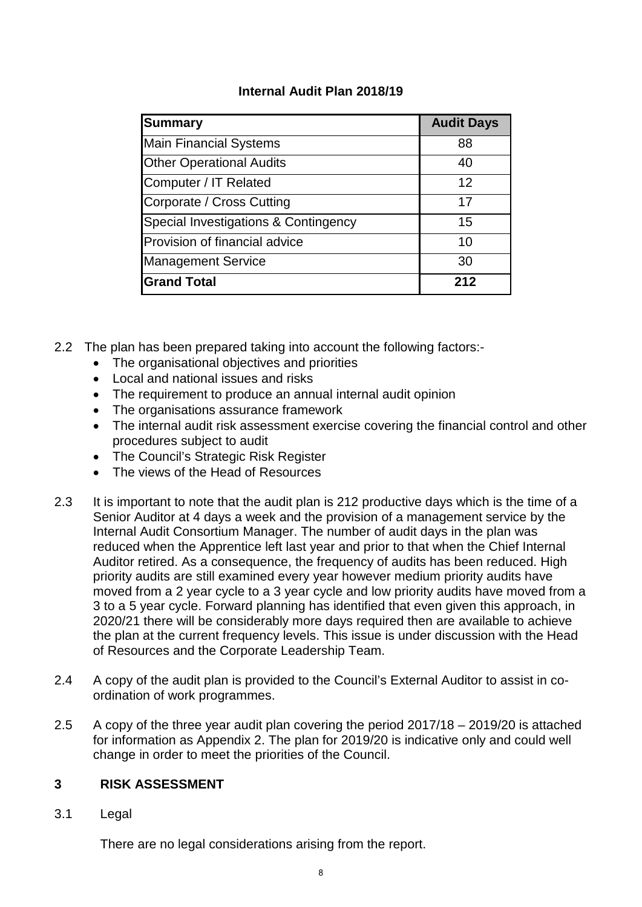## **Internal Audit Plan 2018/19**

| Summary                              | <b>Audit Days</b> |
|--------------------------------------|-------------------|
| <b>Main Financial Systems</b>        | 88                |
| <b>Other Operational Audits</b>      | 40                |
| Computer / IT Related                | $12 \overline{ }$ |
| Corporate / Cross Cutting            | 17                |
| Special Investigations & Contingency | 15                |
| Provision of financial advice        | 10                |
| <b>Management Service</b>            | 30                |
| <b>Grand Total</b>                   | 212               |

- 2.2 The plan has been prepared taking into account the following factors:-
	- The organisational objectives and priorities
	- Local and national issues and risks
	- The requirement to produce an annual internal audit opinion
	- The organisations assurance framework
	- The internal audit risk assessment exercise covering the financial control and other procedures subject to audit
	- The Council's Strategic Risk Register
	- The views of the Head of Resources
- 2.3 It is important to note that the audit plan is 212 productive days which is the time of a Senior Auditor at 4 days a week and the provision of a management service by the Internal Audit Consortium Manager. The number of audit days in the plan was reduced when the Apprentice left last year and prior to that when the Chief Internal Auditor retired. As a consequence, the frequency of audits has been reduced. High priority audits are still examined every year however medium priority audits have moved from a 2 year cycle to a 3 year cycle and low priority audits have moved from a 3 to a 5 year cycle. Forward planning has identified that even given this approach, in 2020/21 there will be considerably more days required then are available to achieve the plan at the current frequency levels. This issue is under discussion with the Head of Resources and the Corporate Leadership Team.
- 2.4 A copy of the audit plan is provided to the Council's External Auditor to assist in coordination of work programmes.
- 2.5 A copy of the three year audit plan covering the period 2017/18 2019/20 is attached for information as Appendix 2. The plan for 2019/20 is indicative only and could well change in order to meet the priorities of the Council.

#### **3 RISK ASSESSMENT**

3.1 Legal

There are no legal considerations arising from the report.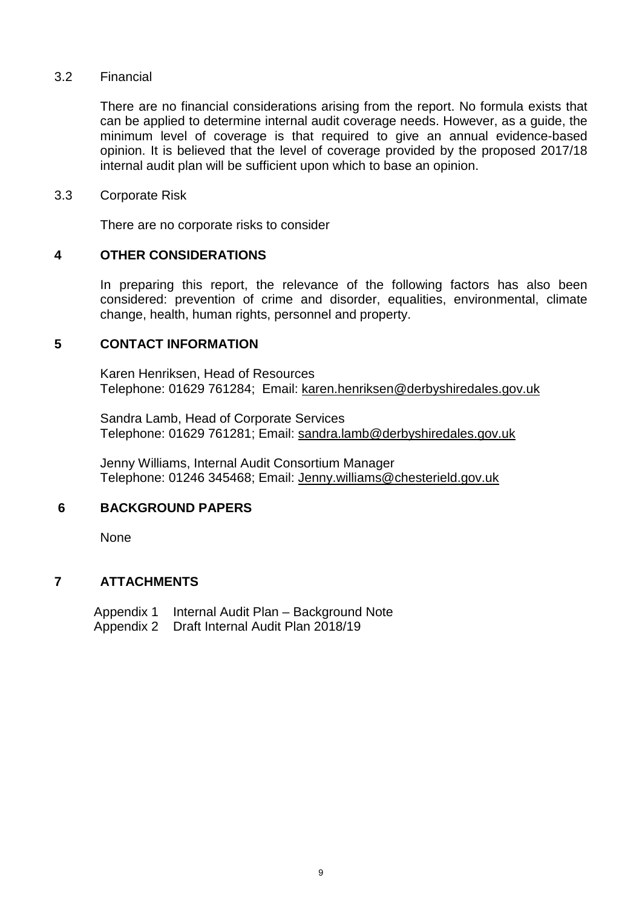#### 3.2 Financial

There are no financial considerations arising from the report. No formula exists that can be applied to determine internal audit coverage needs. However, as a guide, the minimum level of coverage is that required to give an annual evidence-based opinion. It is believed that the level of coverage provided by the proposed 2017/18 internal audit plan will be sufficient upon which to base an opinion.

#### 3.3 Corporate Risk

There are no corporate risks to consider

#### **4 OTHER CONSIDERATIONS**

In preparing this report, the relevance of the following factors has also been considered: prevention of crime and disorder, equalities, environmental, climate change, health, human rights, personnel and property.

#### **5 CONTACT INFORMATION**

 Karen Henriksen, Head of Resources Telephone: 01629 761284; Email: [karen.henriksen@derbyshiredales.gov.uk](mailto:karen.henriksen@derbyshiredales.gov.uk)

 Sandra Lamb, Head of Corporate Services Telephone: 01629 761281; Email: [sandra.lamb@derbyshiredales.gov.uk](mailto:sandra.lamb@derbyshiredales.gov.uk)

Jenny Williams, Internal Audit Consortium Manager Telephone: 01246 345468; Email: [Jenny.williams@chesterield.gov.uk](mailto:Jenny.williams@chesterield.gov.uk)

#### **6 BACKGROUND PAPERS**

None

#### **7 ATTACHMENTS**

 Appendix 1 Internal Audit Plan – Background Note Appendix 2 Draft Internal Audit Plan 2018/19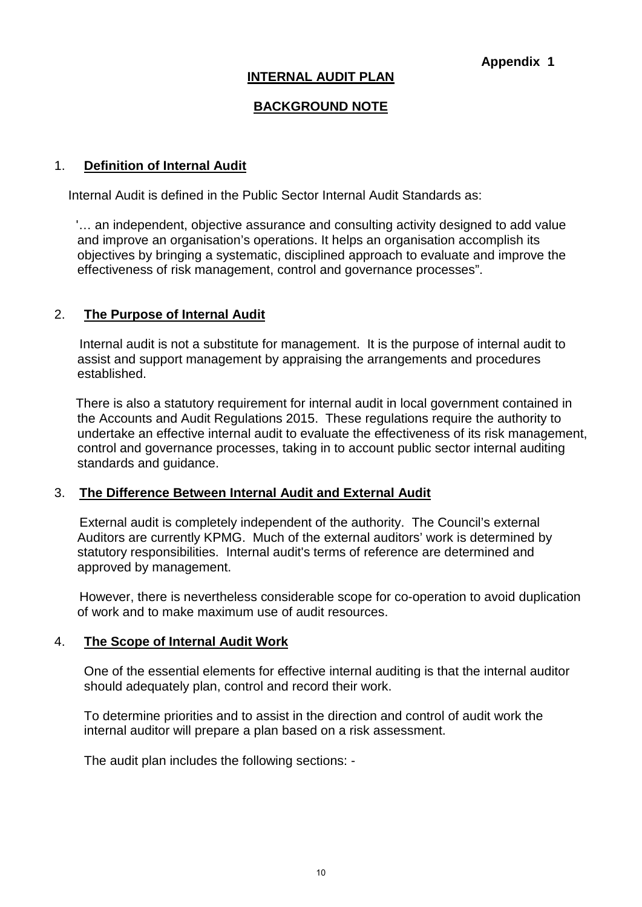### **INTERNAL AUDIT PLAN**

## **BACKGROUND NOTE**

#### 1. **Definition of Internal Audit**

Internal Audit is defined in the Public Sector Internal Audit Standards as:

 '… an independent, objective assurance and consulting activity designed to add value and improve an organisation's operations. It helps an organisation accomplish its objectives by bringing a systematic, disciplined approach to evaluate and improve the effectiveness of risk management, control and governance processes".

#### 2. **The Purpose of Internal Audit**

 Internal audit is not a substitute for management. It is the purpose of internal audit to assist and support management by appraising the arrangements and procedures established.

 There is also a statutory requirement for internal audit in local government contained in the Accounts and Audit Regulations 2015. These regulations require the authority to undertake an effective internal audit to evaluate the effectiveness of its risk management, control and governance processes, taking in to account public sector internal auditing standards and guidance.

#### 3. **The Difference Between Internal Audit and External Audit**

External audit is completely independent of the authority. The Council's external Auditors are currently KPMG. Much of the external auditors' work is determined by statutory responsibilities. Internal audit's terms of reference are determined and approved by management.

However, there is nevertheless considerable scope for co-operation to avoid duplication of work and to make maximum use of audit resources.

#### 4. **The Scope of Internal Audit Work**

One of the essential elements for effective internal auditing is that the internal auditor should adequately plan, control and record their work.

To determine priorities and to assist in the direction and control of audit work the internal auditor will prepare a plan based on a risk assessment.

The audit plan includes the following sections: -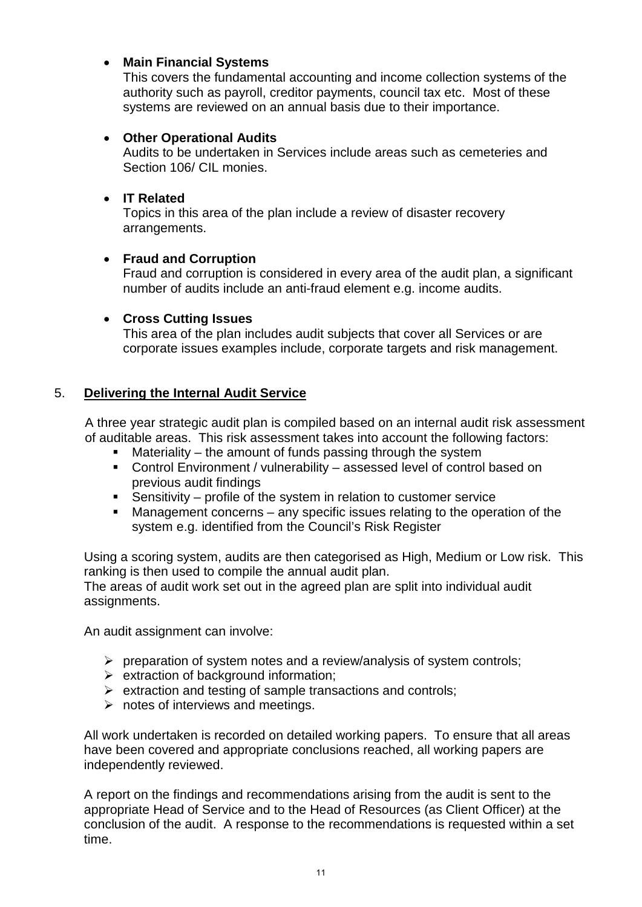## • **Main Financial Systems**

This covers the fundamental accounting and income collection systems of the authority such as payroll, creditor payments, council tax etc. Most of these systems are reviewed on an annual basis due to their importance.

#### • **Other Operational Audits**

Audits to be undertaken in Services include areas such as cemeteries and Section 106/ CIL monies.

## • **IT Related**

Topics in this area of the plan include a review of disaster recovery arrangements.

## • **Fraud and Corruption**

Fraud and corruption is considered in every area of the audit plan, a significant number of audits include an anti-fraud element e.g. income audits.

## • **Cross Cutting Issues**

This area of the plan includes audit subjects that cover all Services or are corporate issues examples include, corporate targets and risk management.

## 5. **Delivering the Internal Audit Service**

A three year strategic audit plan is compiled based on an internal audit risk assessment of auditable areas. This risk assessment takes into account the following factors:

- Materiality the amount of funds passing through the system
- Control Environment / vulnerability assessed level of control based on previous audit findings
- previous audit in any of the system in relation to customer service
- Management concerns any specific issues relating to the operation of the system e.g. identified from the Council's Risk Register

Using a scoring system, audits are then categorised as High, Medium or Low risk. This ranking is then used to compile the annual audit plan.

The areas of audit work set out in the agreed plan are split into individual audit assignments.

An audit assignment can involve:

- $\triangleright$  preparation of system notes and a review/analysis of system controls;
- $\triangleright$  extraction of background information;
- $\triangleright$  extraction and testing of sample transactions and controls:
- $\triangleright$  notes of interviews and meetings.

All work undertaken is recorded on detailed working papers. To ensure that all areas have been covered and appropriate conclusions reached, all working papers are independently reviewed.

A report on the findings and recommendations arising from the audit is sent to the appropriate Head of Service and to the Head of Resources (as Client Officer) at the conclusion of the audit. A response to the recommendations is requested within a set time.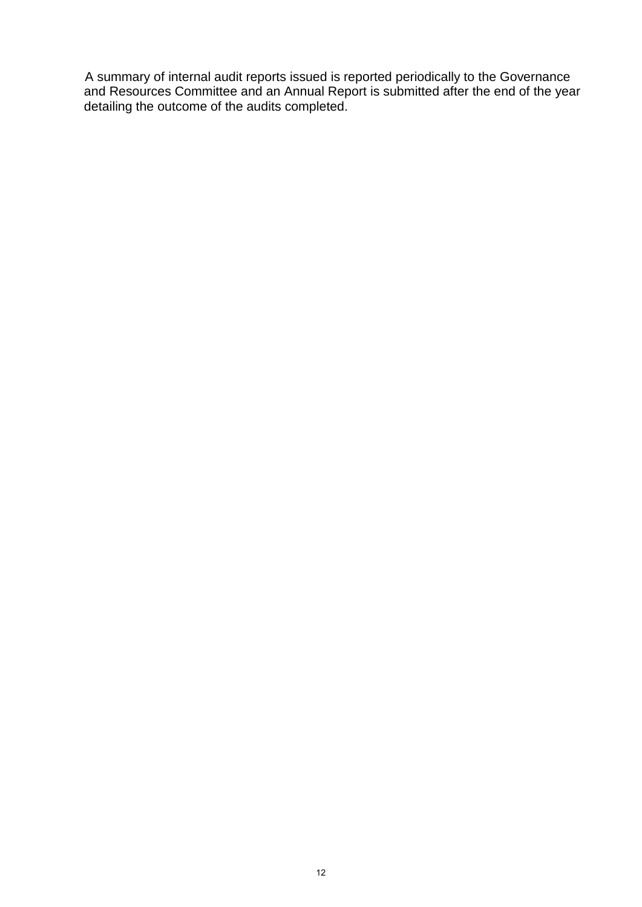A summary of internal audit reports issued is reported periodically to the Governance and Resources Committee and an Annual Report is submitted after the end of the year detailing the outcome of the audits completed.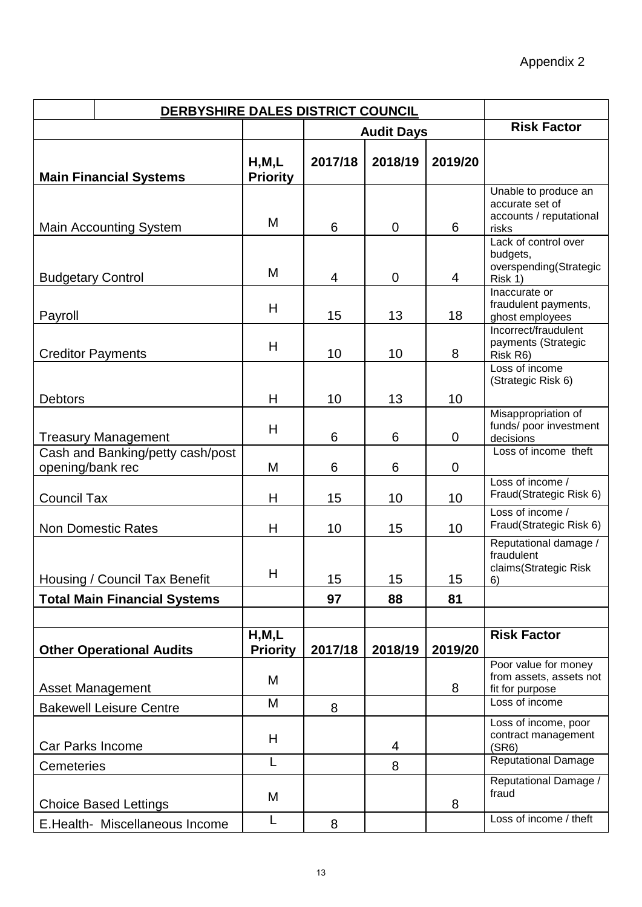|                          | DERBYSHIRE DALES DISTRICT COUNCIL   |                            |         |                   |             |                                                                    |  |  |
|--------------------------|-------------------------------------|----------------------------|---------|-------------------|-------------|--------------------------------------------------------------------|--|--|
|                          |                                     |                            |         | <b>Audit Days</b> |             | <b>Risk Factor</b>                                                 |  |  |
|                          | <b>Main Financial Systems</b>       | H, M, L<br><b>Priority</b> | 2017/18 | 2018/19           | 2019/20     |                                                                    |  |  |
|                          |                                     |                            |         |                   |             | Unable to produce an<br>accurate set of                            |  |  |
|                          | <b>Main Accounting System</b>       | M                          | 6       | $\mathbf 0$       | 6           | accounts / reputational<br>risks                                   |  |  |
|                          |                                     |                            |         |                   |             | Lack of control over                                               |  |  |
| <b>Budgetary Control</b> |                                     | M                          | 4       | $\mathbf 0$       | 4           | budgets,<br>overspending(Strategic<br>Risk 1)                      |  |  |
| Payroll                  |                                     | H                          | 15      | 13                | 18          | Inaccurate or<br>fraudulent payments,<br>ghost employees           |  |  |
| <b>Creditor Payments</b> |                                     | H                          | 10      | 10                | 8           | Incorrect/fraudulent<br>payments (Strategic<br>Risk R6)            |  |  |
|                          |                                     |                            |         |                   |             | Loss of income<br>(Strategic Risk 6)                               |  |  |
| <b>Debtors</b>           |                                     | H                          | 10      | 13                | 10          |                                                                    |  |  |
|                          | <b>Treasury Management</b>          | H                          | 6       | 6                 | 0           | Misappropriation of<br>funds/ poor investment<br>decisions         |  |  |
|                          | Cash and Banking/petty cash/post    |                            |         |                   |             | Loss of income theft                                               |  |  |
| opening/bank rec         |                                     | M                          | 6       | 6                 | $\mathbf 0$ | Loss of income /                                                   |  |  |
| <b>Council Tax</b>       |                                     | H                          | 15      | 10                | 10          | Fraud(Strategic Risk 6)                                            |  |  |
|                          | <b>Non Domestic Rates</b>           | H                          | 10      | 15                | 10          | Loss of income /<br>Fraud(Strategic Risk 6)                        |  |  |
|                          | Housing / Council Tax Benefit       | H                          | 15      | 15                | 15          | Reputational damage /<br>fraudulent<br>claims(Strategic Risk<br>6) |  |  |
|                          | <b>Total Main Financial Systems</b> |                            | 97      | 88                | 81          |                                                                    |  |  |
|                          |                                     |                            |         |                   |             |                                                                    |  |  |
|                          | <b>Other Operational Audits</b>     | H, M, L<br><b>Priority</b> | 2017/18 | 2018/19           | 2019/20     | <b>Risk Factor</b>                                                 |  |  |
|                          | <b>Asset Management</b>             | M                          |         |                   | 8           | Poor value for money<br>from assets, assets not<br>fit for purpose |  |  |
|                          | <b>Bakewell Leisure Centre</b>      | M                          | 8       |                   |             | Loss of income                                                     |  |  |
| Car Parks Income         |                                     | H                          |         | 4                 |             | Loss of income, poor<br>contract management<br>(SR6)               |  |  |
| <b>Cemeteries</b>        |                                     | L                          |         | 8                 |             | <b>Reputational Damage</b>                                         |  |  |
|                          | <b>Choice Based Lettings</b>        | M                          |         |                   | 8           | Reputational Damage /<br>fraud                                     |  |  |
|                          | E.Health- Miscellaneous Income      | L                          | 8       |                   |             | Loss of income / theft                                             |  |  |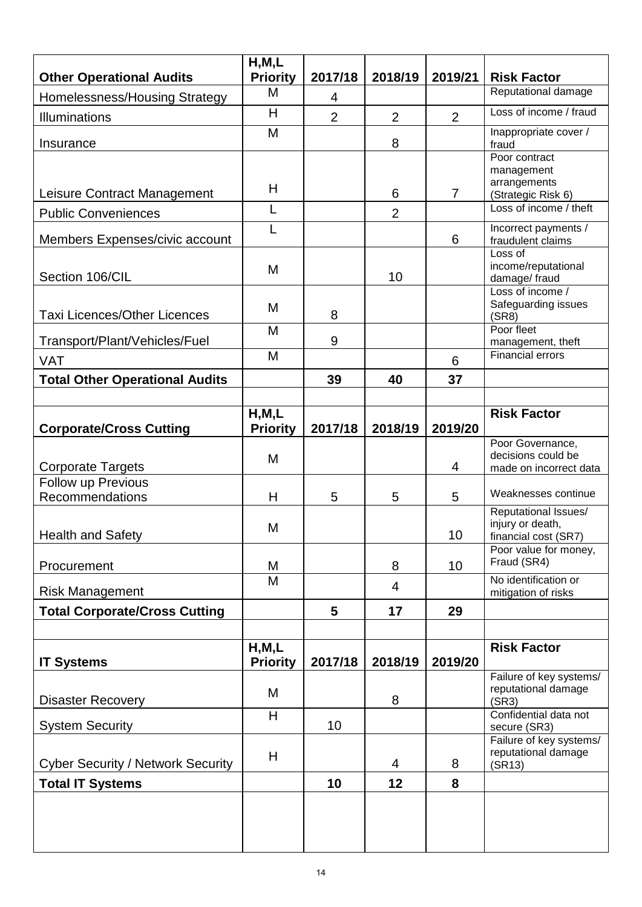| <b>Other Operational Audits</b>          | H, M, L<br><b>Priority</b> | 2017/18        | 2018/19        | 2019/21        | <b>Risk Factor</b>                                               |
|------------------------------------------|----------------------------|----------------|----------------|----------------|------------------------------------------------------------------|
| Homelessness/Housing Strategy            | M                          | 4              |                |                | Reputational damage                                              |
| <b>Illuminations</b>                     | H                          | $\overline{2}$ | $\overline{2}$ | $\overline{2}$ | Loss of income / fraud                                           |
| Insurance                                | M                          |                | 8              |                | Inappropriate cover /<br>fraud                                   |
|                                          |                            |                |                |                | Poor contract<br>management                                      |
| Leisure Contract Management              | H                          |                | 6              | $\overline{7}$ | arrangements<br>(Strategic Risk 6)                               |
| <b>Public Conveniences</b>               | L                          |                | $\overline{2}$ |                | Loss of income / theft                                           |
| Members Expenses/civic account           | L                          |                |                | 6              | Incorrect payments /<br>fraudulent claims                        |
| Section 106/CIL                          | M                          |                | 10             |                | Loss of<br>income/reputational<br>damage/fraud                   |
| <b>Taxi Licences/Other Licences</b>      | M                          | 8              |                |                | Loss of income /<br>Safeguarding issues<br>(SR8)                 |
| Transport/Plant/Vehicles/Fuel            | M                          | 9              |                |                | Poor fleet<br>management, theft                                  |
| <b>VAT</b>                               | M                          |                |                | 6              | <b>Financial errors</b>                                          |
| <b>Total Other Operational Audits</b>    |                            | 39             | 40             | 37             |                                                                  |
|                                          |                            |                |                |                |                                                                  |
| <b>Corporate/Cross Cutting</b>           | H, M, L<br><b>Priority</b> | 2017/18        | 2018/19        | 2019/20        | <b>Risk Factor</b>                                               |
| <b>Corporate Targets</b>                 | M                          |                |                | 4              | Poor Governance,<br>decisions could be<br>made on incorrect data |
| Follow up Previous                       |                            |                |                |                |                                                                  |
| Recommendations                          | H                          | 5              | 5              | 5              | Weaknesses continue<br>Reputational Issues/                      |
| <b>Health and Safety</b>                 | M                          |                |                | 10             | injury or death,<br>financial cost (SR7)                         |
| Procurement                              | M                          |                | 8              | 10             | Poor value for money,<br>Fraud (SR4)                             |
| <b>Risk Management</b>                   | M                          |                | $\overline{4}$ |                | No identification or<br>mitigation of risks                      |
| <b>Total Corporate/Cross Cutting</b>     |                            | 5              | 17             | 29             |                                                                  |
|                                          |                            |                |                |                |                                                                  |
| <b>IT Systems</b>                        | H, M, L<br><b>Priority</b> | 2017/18        | 2018/19        | 2019/20        | <b>Risk Factor</b>                                               |
| <b>Disaster Recovery</b>                 | M                          |                | 8              |                | Failure of key systems/<br>reputational damage<br>(SR3)          |
| <b>System Security</b>                   | H                          | 10             |                |                | Confidential data not<br>secure (SR3)                            |
| <b>Cyber Security / Network Security</b> | H                          |                | 4              | 8              | Failure of key systems/<br>reputational damage<br>(SR13)         |
| <b>Total IT Systems</b>                  |                            | 10             | 12             | 8              |                                                                  |
|                                          |                            |                |                |                |                                                                  |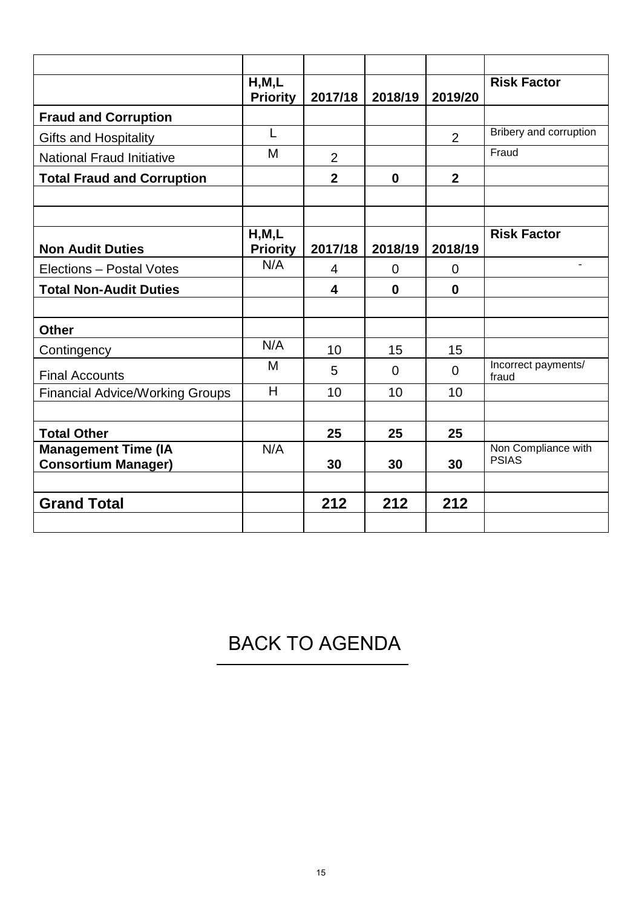|                                                          | H, M, L<br><b>Priority</b> | 2017/18        | 2018/19  | 2019/20        | <b>Risk Factor</b>                  |
|----------------------------------------------------------|----------------------------|----------------|----------|----------------|-------------------------------------|
| <b>Fraud and Corruption</b>                              |                            |                |          |                |                                     |
| <b>Gifts and Hospitality</b>                             | L                          |                |          | 2              | Bribery and corruption              |
| <b>National Fraud Initiative</b>                         | M                          | $\overline{2}$ |          |                | Fraud                               |
| <b>Total Fraud and Corruption</b>                        |                            | $\overline{2}$ | $\bf{0}$ | $\overline{2}$ |                                     |
|                                                          |                            |                |          |                |                                     |
| <b>Non Audit Duties</b>                                  | H, M, L<br><b>Priority</b> | 2017/18        | 2018/19  | 2018/19        | <b>Risk Factor</b>                  |
| Elections - Postal Votes                                 | N/A                        | 4              | $\Omega$ | $\Omega$       |                                     |
| <b>Total Non-Audit Duties</b>                            |                            | 4              | $\bf{0}$ | $\bf{0}$       |                                     |
|                                                          |                            |                |          |                |                                     |
| <b>Other</b>                                             |                            |                |          |                |                                     |
| Contingency                                              | N/A                        | 10             | 15       | 15             |                                     |
| <b>Final Accounts</b>                                    | M                          | 5              | $\Omega$ | $\Omega$       | Incorrect payments/<br>fraud        |
| <b>Financial Advice/Working Groups</b>                   | H                          | 10             | 10       | 10             |                                     |
|                                                          |                            |                |          |                |                                     |
| <b>Total Other</b>                                       |                            | 25             | 25       | 25             |                                     |
| <b>Management Time (IA</b><br><b>Consortium Manager)</b> | N/A                        | 30             | 30       | 30             | Non Compliance with<br><b>PSIAS</b> |
|                                                          |                            |                |          |                |                                     |
| <b>Grand Total</b>                                       |                            | 212            | 212      | 212            |                                     |
|                                                          |                            |                |          |                |                                     |

[BACK TO AGENDA](#page-1-0)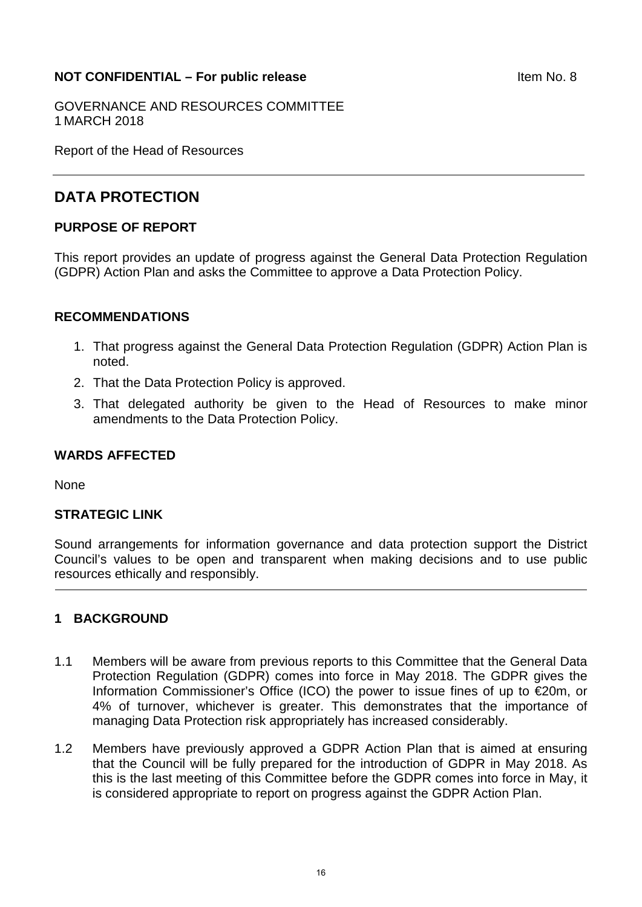### <span id="page-15-0"></span>**NOT CONFIDENTIAL – For public release and all of the set of the Item No. 8**

GOVERNANCE AND RESOURCES COMMITTEE 1 MARCH 2018

Report of the Head of Resources

## **DATA PROTECTION**

#### **PURPOSE OF REPORT**

This report provides an update of progress against the General Data Protection Regulation (GDPR) Action Plan and asks the Committee to approve a Data Protection Policy.

#### **RECOMMENDATIONS**

- 1. That progress against the General Data Protection Regulation (GDPR) Action Plan is noted.
- 2. That the Data Protection Policy is approved.
- 3. That delegated authority be given to the Head of Resources to make minor amendments to the Data Protection Policy.

#### **WARDS AFFECTED**

None

#### **STRATEGIC LINK**

Sound arrangements for information governance and data protection support the District Council's values to be open and transparent when making decisions and to use public resources ethically and responsibly.

### **1 BACKGROUND**

- 1.1 Members will be aware from previous reports to this Committee that the General Data Protection Regulation (GDPR) comes into force in May 2018. The GDPR gives the Information Commissioner's Office (ICO) the power to issue fines of up to €20m, or 4% of turnover, whichever is greater. This demonstrates that the importance of managing Data Protection risk appropriately has increased considerably.
- 1.2 Members have previously approved a GDPR Action Plan that is aimed at ensuring that the Council will be fully prepared for the introduction of GDPR in May 2018. As this is the last meeting of this Committee before the GDPR comes into force in May, it is considered appropriate to report on progress against the GDPR Action Plan.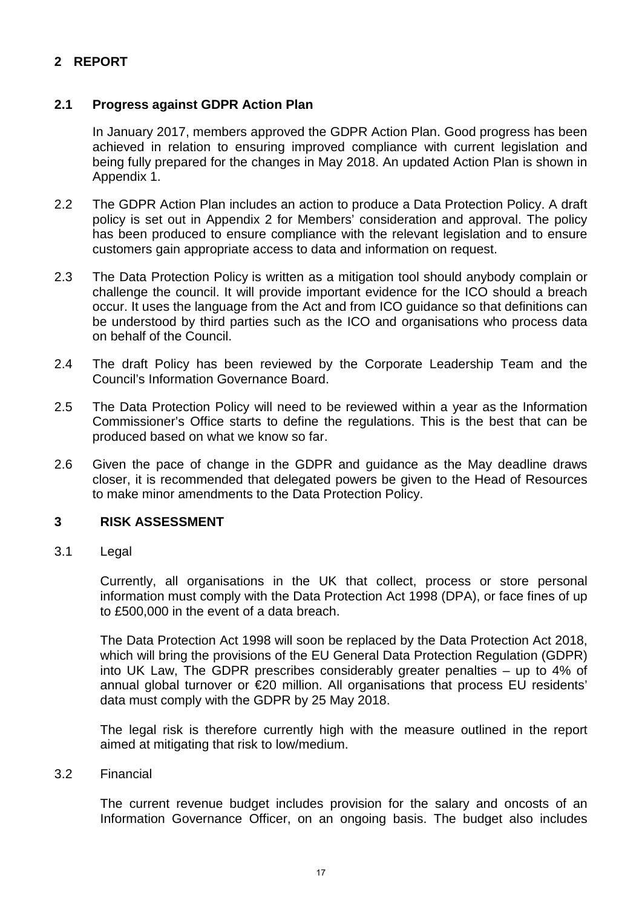## **2 REPORT**

## **2.1 Progress against GDPR Action Plan**

In January 2017, members approved the GDPR Action Plan. Good progress has been achieved in relation to ensuring improved compliance with current legislation and being fully prepared for the changes in May 2018. An updated Action Plan is shown in Appendix 1.

- 2.2 The GDPR Action Plan includes an action to produce a Data Protection Policy. A draft policy is set out in Appendix 2 for Members' consideration and approval. The policy has been produced to ensure compliance with the relevant legislation and to ensure customers gain appropriate access to data and information on request.
- 2.3 The Data Protection Policy is written as a mitigation tool should anybody complain or challenge the council. It will provide important evidence for the ICO should a breach occur. It uses the language from the Act and from ICO guidance so that definitions can be understood by third parties such as the ICO and organisations who process data on behalf of the Council.
- 2.4 The draft Policy has been reviewed by the Corporate Leadership Team and the Council's Information Governance Board.
- 2.5 The Data Protection Policy will need to be reviewed within a year as the Information Commissioner's Office starts to define the regulations. This is the best that can be produced based on what we know so far.
- 2.6 Given the pace of change in the GDPR and guidance as the May deadline draws closer, it is recommended that delegated powers be given to the Head of Resources to make minor amendments to the Data Protection Policy.

#### **3 RISK ASSESSMENT**

3.1 Legal

Currently, all organisations in the UK that collect, process or store personal information must comply with the Data Protection Act 1998 (DPA), or face fines of up to £500,000 in the event of a data breach.

The Data Protection Act 1998 will soon be replaced by the Data Protection Act 2018, which will bring the provisions of the [EU General Data Protection Regulation \(GDPR\)](https://www.itgovernance.co.uk/data-protection-dpa-and-eu-data-protection-regulation) into UK Law, The GDPR prescribes considerably greater penalties – up to 4% of annual global turnover or €20 million. All organisations that process EU residents' data must comply with the GDPR by 25 May 2018.

The legal risk is therefore currently high with the measure outlined in the report aimed at mitigating that risk to low/medium.

#### 3.2 Financial

The current revenue budget includes provision for the salary and oncosts of an Information Governance Officer, on an ongoing basis. The budget also includes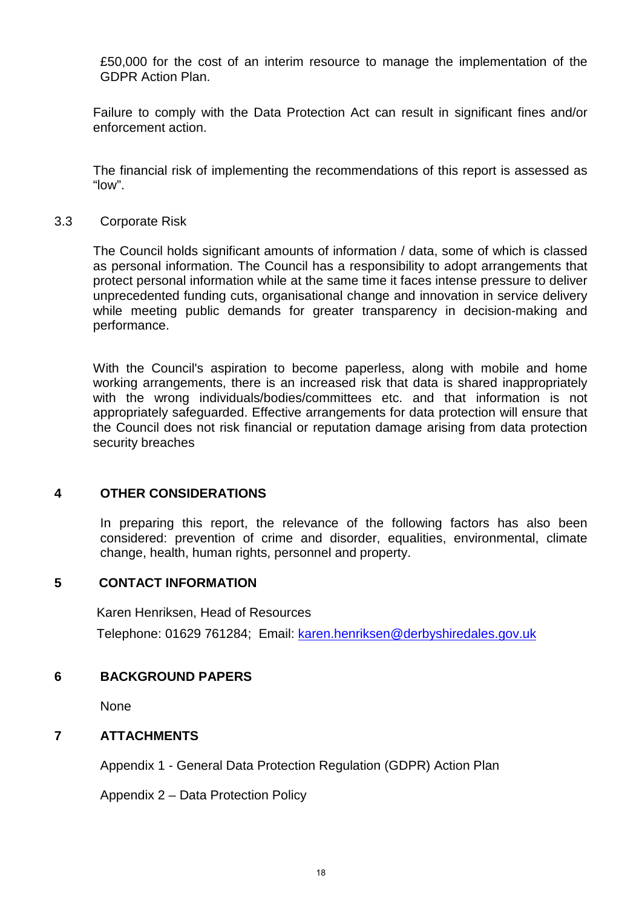£50,000 for the cost of an interim resource to manage the implementation of the GDPR Action Plan.

Failure to comply with the Data Protection Act can result in significant fines and/or enforcement action.

The financial risk of implementing the recommendations of this report is assessed as "low".

3.3 Corporate Risk

The Council holds significant amounts of information / data, some of which is classed as personal information. The Council has a responsibility to adopt arrangements that protect personal information while at the same time it faces intense pressure to deliver unprecedented funding cuts, organisational change and innovation in service delivery while meeting public demands for greater transparency in decision-making and performance.

With the Council's aspiration to become paperless, along with mobile and home working arrangements, there is an increased risk that data is shared inappropriately with the wrong individuals/bodies/committees etc. and that information is not appropriately safeguarded. Effective arrangements for data protection will ensure that the Council does not risk financial or reputation damage arising from data protection security breaches

#### **4 OTHER CONSIDERATIONS**

In preparing this report, the relevance of the following factors has also been considered: prevention of crime and disorder, equalities, environmental, climate change, health, human rights, personnel and property.

#### **5 CONTACT INFORMATION**

Karen Henriksen, Head of Resources

Telephone: 01629 761284; Email: [karen.henriksen@derbyshiredales.gov.uk](mailto:karen.henriksen@derbyshiredales.gov.uk)

#### **6 BACKGROUND PAPERS**

None

#### **7 ATTACHMENTS**

Appendix 1 - General Data Protection Regulation (GDPR) Action Plan

Appendix 2 – Data Protection Policy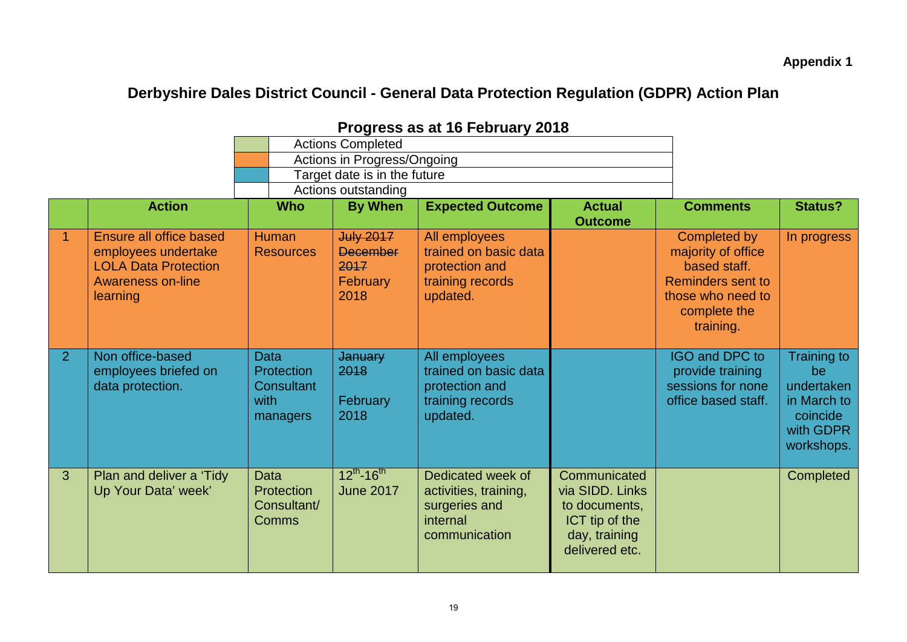**Appendix 1**

## **Derbyshire Dales District Council - General Data Protection Regulation (GDPR) Action Plan**

|             |                                                                                                                |                                                                    | <b>Actions Completed</b>                                               |                                                                                          |                                                                                                       |                                                                                                                                  |                                                                                              |
|-------------|----------------------------------------------------------------------------------------------------------------|--------------------------------------------------------------------|------------------------------------------------------------------------|------------------------------------------------------------------------------------------|-------------------------------------------------------------------------------------------------------|----------------------------------------------------------------------------------------------------------------------------------|----------------------------------------------------------------------------------------------|
|             |                                                                                                                |                                                                    | Actions in Progress/Ongoing                                            |                                                                                          |                                                                                                       |                                                                                                                                  |                                                                                              |
|             |                                                                                                                |                                                                    | Target date is in the future                                           |                                                                                          |                                                                                                       |                                                                                                                                  |                                                                                              |
|             |                                                                                                                |                                                                    | Actions outstanding                                                    |                                                                                          |                                                                                                       |                                                                                                                                  |                                                                                              |
|             | <b>Action</b>                                                                                                  | <b>Who</b>                                                         | <b>By When</b>                                                         | <b>Expected Outcome</b>                                                                  | <b>Actual</b><br><b>Outcome</b>                                                                       | <b>Comments</b>                                                                                                                  | <b>Status?</b>                                                                               |
| $\mathbf 1$ | Ensure all office based<br>employees undertake<br><b>LOLA Data Protection</b><br>Awareness on-line<br>learning | <b>Human</b><br><b>Resources</b>                                   | <b>July 2017</b><br><b>December</b><br>2017<br><b>February</b><br>2018 | All employees<br>trained on basic data<br>protection and<br>training records<br>updated. |                                                                                                       | Completed by<br>majority of office<br>based staff.<br><b>Reminders sent to</b><br>those who need to<br>complete the<br>training. | In progress                                                                                  |
| 2           | Non office-based<br>employees briefed on<br>data protection.                                                   | <b>Data</b><br>Protection<br><b>Consultant</b><br>with<br>managers | <b>January</b><br>2018<br>February<br>2018                             | All employees<br>trained on basic data<br>protection and<br>training records<br>updated. |                                                                                                       | IGO and DPC to<br>provide training<br>sessions for none<br>office based staff.                                                   | <b>Training to</b><br>be<br>undertaken<br>in March to<br>coincide<br>with GDPR<br>workshops. |
| 3           | Plan and deliver a 'Tidy'<br>Up Your Data' week'                                                               | <b>Data</b><br>Protection<br>Consultant/<br><b>Comms</b>           | $12^{th}$ -16 <sup>th</sup><br><b>June 2017</b>                        | Dedicated week of<br>activities, training,<br>surgeries and<br>internal<br>communication | Communicated<br>via SIDD. Links<br>to documents,<br>ICT tip of the<br>day, training<br>delivered etc. |                                                                                                                                  | Completed                                                                                    |

## **Progress as at 16 February 2018**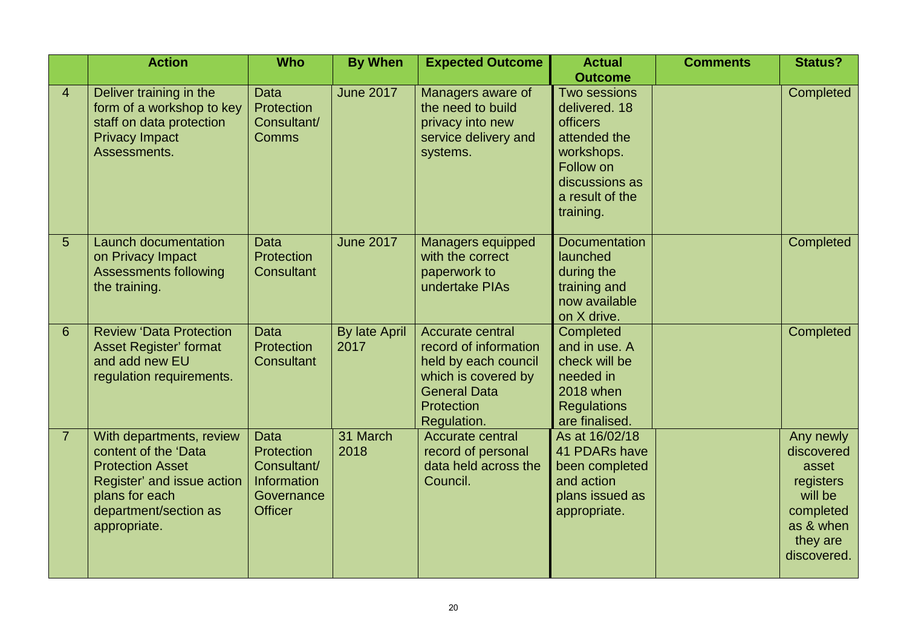|                | <b>Action</b>                                                                                                                                                        | <b>Who</b>                                                                              | <b>By When</b>               | <b>Expected Outcome</b>                                                                                                                      | <b>Actual</b>                                                                                                                                            | <b>Comments</b> | <b>Status?</b>                                                                                                |
|----------------|----------------------------------------------------------------------------------------------------------------------------------------------------------------------|-----------------------------------------------------------------------------------------|------------------------------|----------------------------------------------------------------------------------------------------------------------------------------------|----------------------------------------------------------------------------------------------------------------------------------------------------------|-----------------|---------------------------------------------------------------------------------------------------------------|
| $\overline{4}$ | Deliver training in the<br>form of a workshop to key<br>staff on data protection<br><b>Privacy Impact</b><br>Assessments.                                            | Data<br>Protection<br>Consultant/<br><b>Comms</b>                                       | <b>June 2017</b>             | Managers aware of<br>the need to build<br>privacy into new<br>service delivery and<br>systems.                                               | <b>Outcome</b><br>Two sessions<br>delivered. 18<br>officers<br>attended the<br>workshops.<br>Follow on<br>discussions as<br>a result of the<br>training. |                 | Completed                                                                                                     |
| 5              | <b>Launch documentation</b><br>on Privacy Impact<br><b>Assessments following</b><br>the training.                                                                    | Data<br>Protection<br><b>Consultant</b>                                                 | <b>June 2017</b>             | <b>Managers equipped</b><br>with the correct<br>paperwork to<br>undertake PIAs                                                               | Documentation<br>launched<br>during the<br>training and<br>now available<br>on X drive.                                                                  |                 | Completed                                                                                                     |
| 6              | <b>Review 'Data Protection</b><br><b>Asset Register' format</b><br>and add new EU<br>regulation requirements.                                                        | <b>Data</b><br>Protection<br><b>Consultant</b>                                          | <b>By late April</b><br>2017 | Accurate central<br>record of information<br>held by each council<br>which is covered by<br><b>General Data</b><br>Protection<br>Regulation. | Completed<br>and in use. A<br>check will be<br>needed in<br>2018 when<br><b>Regulations</b><br>are finalised.                                            |                 | Completed                                                                                                     |
| $\overline{7}$ | With departments, review<br>content of the 'Data<br><b>Protection Asset</b><br>Register' and issue action<br>plans for each<br>department/section as<br>appropriate. | <b>Data</b><br>Protection<br>Consultant/<br>Information<br>Governance<br><b>Officer</b> | 31 March<br>2018             | Accurate central<br>record of personal<br>data held across the<br>Council.                                                                   | As at 16/02/18<br>41 PDARs have<br>been completed<br>and action<br>plans issued as<br>appropriate.                                                       |                 | Any newly<br>discovered<br>asset<br>registers<br>will be<br>completed<br>as & when<br>they are<br>discovered. |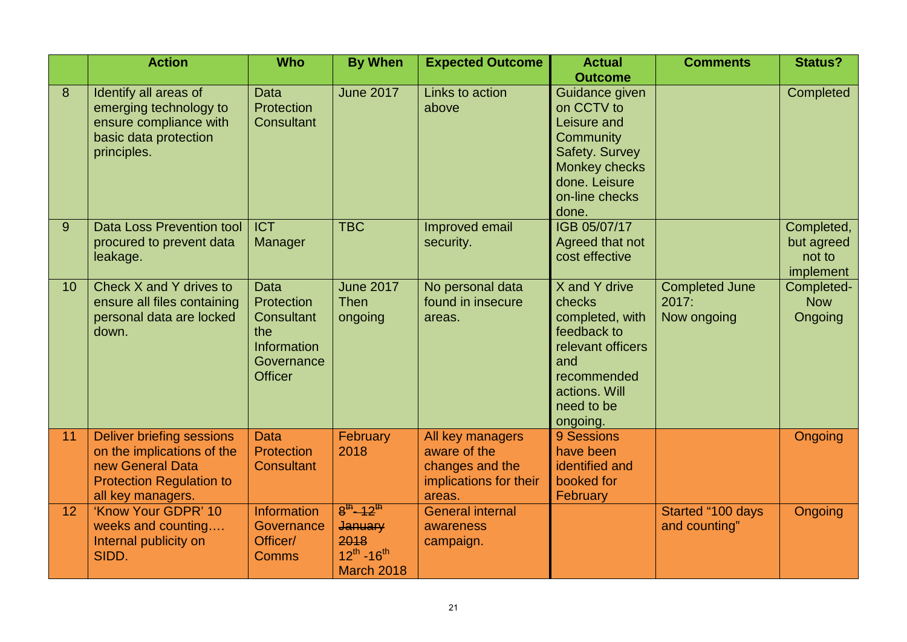|    | <b>Action</b>                                                                                                                              | <b>Who</b>                                                                                                  | <b>By When</b>                                                                            | <b>Expected Outcome</b>                                                                 | <b>Actual</b>                                                                                                                                             | <b>Comments</b>                               | <b>Status?</b>                                  |
|----|--------------------------------------------------------------------------------------------------------------------------------------------|-------------------------------------------------------------------------------------------------------------|-------------------------------------------------------------------------------------------|-----------------------------------------------------------------------------------------|-----------------------------------------------------------------------------------------------------------------------------------------------------------|-----------------------------------------------|-------------------------------------------------|
| 8  | Identify all areas of<br>emerging technology to<br>ensure compliance with<br>basic data protection<br>principles.                          | Data<br>Protection<br><b>Consultant</b>                                                                     | <b>June 2017</b>                                                                          | Links to action<br>above                                                                | <b>Outcome</b><br>Guidance given<br>on CCTV to<br>Leisure and<br>Community<br>Safety. Survey<br>Monkey checks<br>done. Leisure<br>on-line checks<br>done. |                                               | Completed                                       |
| 9  | <b>Data Loss Prevention tool</b><br>procured to prevent data<br>leakage.                                                                   | <b>ICT</b><br>Manager                                                                                       | <b>TBC</b>                                                                                | Improved email<br>security.                                                             | IGB 05/07/17<br>Agreed that not<br>cost effective                                                                                                         |                                               | Completed,<br>but agreed<br>not to<br>implement |
| 10 | Check X and Y drives to<br>ensure all files containing<br>personal data are locked<br>down.                                                | <b>Data</b><br>Protection<br><b>Consultant</b><br>the<br><b>Information</b><br>Governance<br><b>Officer</b> | <b>June 2017</b><br><b>Then</b><br>ongoing                                                | No personal data<br>found in insecure<br>areas.                                         | X and Y drive<br>checks<br>completed, with<br>feedback to<br>relevant officers<br>and<br>recommended<br>actions. Will<br>need to be<br>ongoing.           | <b>Completed June</b><br>2017:<br>Now ongoing | Completed-<br><b>Now</b><br>Ongoing             |
| 11 | <b>Deliver briefing sessions</b><br>on the implications of the<br>new General Data<br><b>Protection Regulation to</b><br>all key managers. | <b>Data</b><br>Protection<br><b>Consultant</b>                                                              | <b>February</b><br>2018                                                                   | All key managers<br>aware of the<br>changes and the<br>implications for their<br>areas. | 9 Sessions<br>have been<br>identified and<br>booked for<br>February                                                                                       |                                               | Ongoing                                         |
| 12 | 'Know Your GDPR' 10<br>weeks and counting<br>Internal publicity on<br>SIDD.                                                                | <b>Information</b><br>Governance<br>Officer/<br><b>Comms</b>                                                | $8^{th}$ -12 <sup>th</sup><br><b>January</b><br>2018<br>$12^{th} - 16^{th}$<br>March 2018 | <b>General internal</b><br>awareness<br>campaign.                                       |                                                                                                                                                           | Started "100 days<br>and counting"            | Ongoing                                         |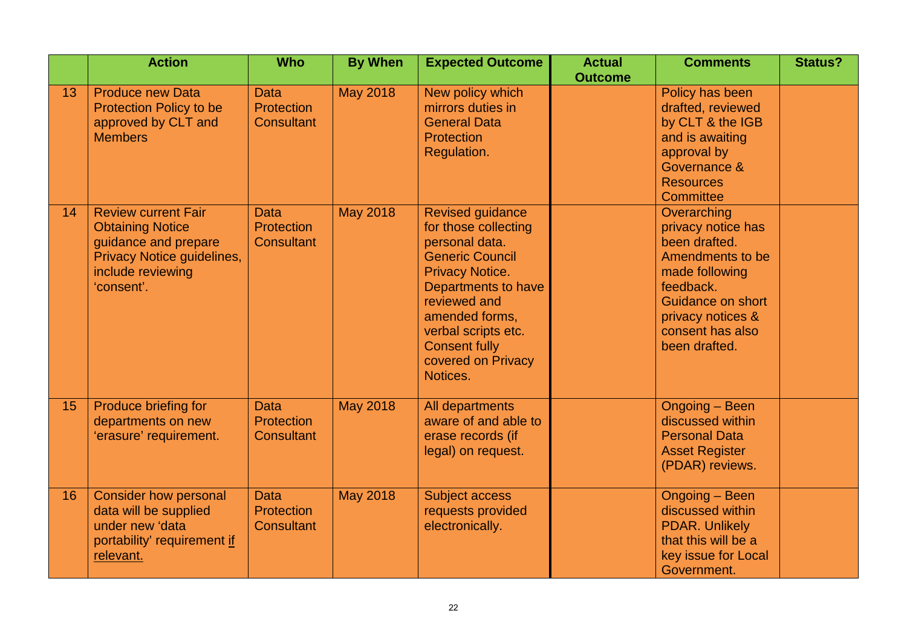|    | <b>Action</b>                                                                                                                                  | <b>Who</b>                                            | <b>By When</b>  | <b>Expected Outcome</b>                                                                                                                                                                                                                                         | <b>Actual</b><br><b>Outcome</b> | <b>Comments</b>                                                                                                                                                                             | <b>Status?</b> |
|----|------------------------------------------------------------------------------------------------------------------------------------------------|-------------------------------------------------------|-----------------|-----------------------------------------------------------------------------------------------------------------------------------------------------------------------------------------------------------------------------------------------------------------|---------------------------------|---------------------------------------------------------------------------------------------------------------------------------------------------------------------------------------------|----------------|
| 13 | <b>Produce new Data</b><br><b>Protection Policy to be</b><br>approved by CLT and<br><b>Members</b>                                             | <b>Data</b><br><b>Protection</b><br><b>Consultant</b> | <b>May 2018</b> | New policy which<br>mirrors duties in<br><b>General Data</b><br><b>Protection</b><br>Regulation.                                                                                                                                                                |                                 | Policy has been<br>drafted, reviewed<br>by CLT & the IGB<br>and is awaiting<br>approval by<br>Governance &<br><b>Resources</b><br>Committee                                                 |                |
| 14 | <b>Review current Fair</b><br><b>Obtaining Notice</b><br>guidance and prepare<br>Privacy Notice guidelines,<br>include reviewing<br>'consent'. | <b>Data</b><br>Protection<br><b>Consultant</b>        | <b>May 2018</b> | <b>Revised guidance</b><br>for those collecting<br>personal data.<br><b>Generic Council</b><br><b>Privacy Notice.</b><br>Departments to have<br>reviewed and<br>amended forms,<br>verbal scripts etc.<br><b>Consent fully</b><br>covered on Privacy<br>Notices. |                                 | Overarching<br>privacy notice has<br>been drafted.<br>Amendments to be<br>made following<br>feedback.<br><b>Guidance on short</b><br>privacy notices &<br>consent has also<br>been drafted. |                |
| 15 | Produce briefing for<br>departments on new<br>'erasure' requirement.                                                                           | <b>Data</b><br>Protection<br><b>Consultant</b>        | <b>May 2018</b> | All departments<br>aware of and able to<br>erase records (if<br>legal) on request.                                                                                                                                                                              |                                 | Ongoing - Been<br>discussed within<br><b>Personal Data</b><br><b>Asset Register</b><br>(PDAR) reviews.                                                                                      |                |
| 16 | <b>Consider how personal</b><br>data will be supplied<br>under new 'data<br>portability' requirement if<br>relevant.                           | <b>Data</b><br><b>Protection</b><br><b>Consultant</b> | <b>May 2018</b> | <b>Subject access</b><br>requests provided<br>electronically.                                                                                                                                                                                                   |                                 | <b>Ongoing - Been</b><br>discussed within<br><b>PDAR. Unlikely</b><br>that this will be a<br>key issue for Local<br>Government.                                                             |                |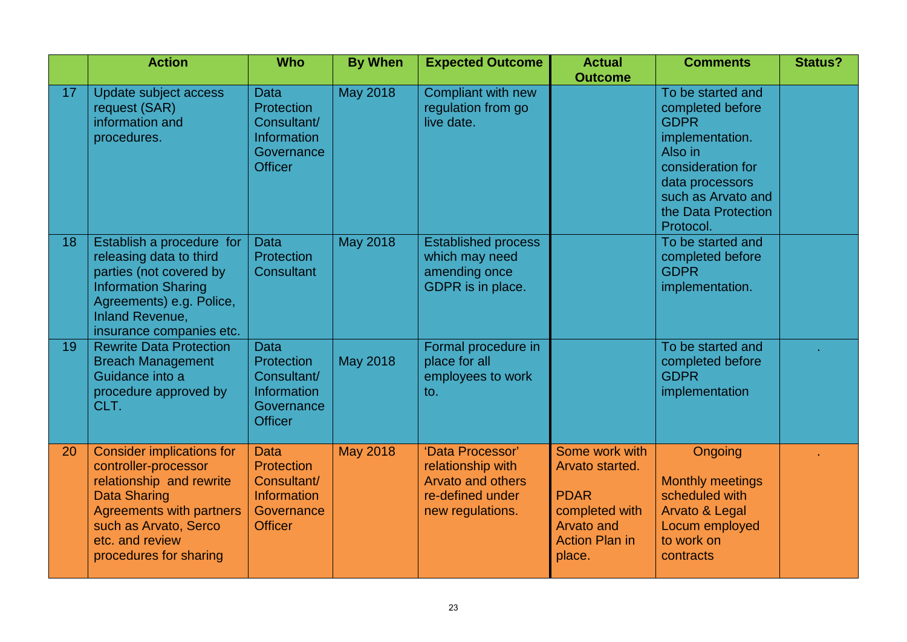|    | <b>Action</b>                                                                                                                                                                                                        | <b>Who</b>                                                                                     | <b>By When</b>  | <b>Expected Outcome</b>                                                                                   | <b>Actual</b><br><b>Outcome</b>                                                                                            | <b>Comments</b>                                                                                                                                                                      | <b>Status?</b> |
|----|----------------------------------------------------------------------------------------------------------------------------------------------------------------------------------------------------------------------|------------------------------------------------------------------------------------------------|-----------------|-----------------------------------------------------------------------------------------------------------|----------------------------------------------------------------------------------------------------------------------------|--------------------------------------------------------------------------------------------------------------------------------------------------------------------------------------|----------------|
| 17 | Update subject access<br>request (SAR)<br>information and<br>procedures.                                                                                                                                             | <b>Data</b><br>Protection<br>Consultant/<br>Information<br>Governance<br><b>Officer</b>        | <b>May 2018</b> | Compliant with new<br>regulation from go<br>live date.                                                    |                                                                                                                            | To be started and<br>completed before<br><b>GDPR</b><br>implementation.<br>Also in<br>consideration for<br>data processors<br>such as Arvato and<br>the Data Protection<br>Protocol. |                |
| 18 | Establish a procedure for<br>releasing data to third<br>parties (not covered by<br><b>Information Sharing</b><br>Agreements) e.g. Police,<br><b>Inland Revenue,</b><br>insurance companies etc.                      | <b>Data</b><br>Protection<br><b>Consultant</b>                                                 | <b>May 2018</b> | <b>Established process</b><br>which may need<br>amending once<br>GDPR is in place.                        |                                                                                                                            | To be started and<br>completed before<br><b>GDPR</b><br>implementation.                                                                                                              |                |
| 19 | <b>Rewrite Data Protection</b><br><b>Breach Management</b><br>Guidance into a<br>procedure approved by<br>CLT.                                                                                                       | <b>Data</b><br>Protection<br>Consultant/<br>Information<br>Governance<br><b>Officer</b>        | <b>May 2018</b> | Formal procedure in<br>place for all<br>employees to work<br>to.                                          |                                                                                                                            | To be started and<br>completed before<br><b>GDPR</b><br>implementation                                                                                                               |                |
| 20 | <b>Consider implications for</b><br>controller-processor<br>relationship and rewrite<br><b>Data Sharing</b><br><b>Agreements with partners</b><br>such as Arvato, Serco<br>etc. and review<br>procedures for sharing | <b>Data</b><br>Protection<br>Consultant/<br><b>Information</b><br>Governance<br><b>Officer</b> | <b>May 2018</b> | 'Data Processor'<br>relationship with<br><b>Arvato and others</b><br>re-defined under<br>new regulations. | Some work with<br>Arvato started.<br><b>PDAR</b><br>completed with<br><b>Arvato and</b><br><b>Action Plan in</b><br>place. | Ongoing<br><b>Monthly meetings</b><br>scheduled with<br><b>Arvato &amp; Legal</b><br>Locum employed<br>to work on<br>contracts                                                       |                |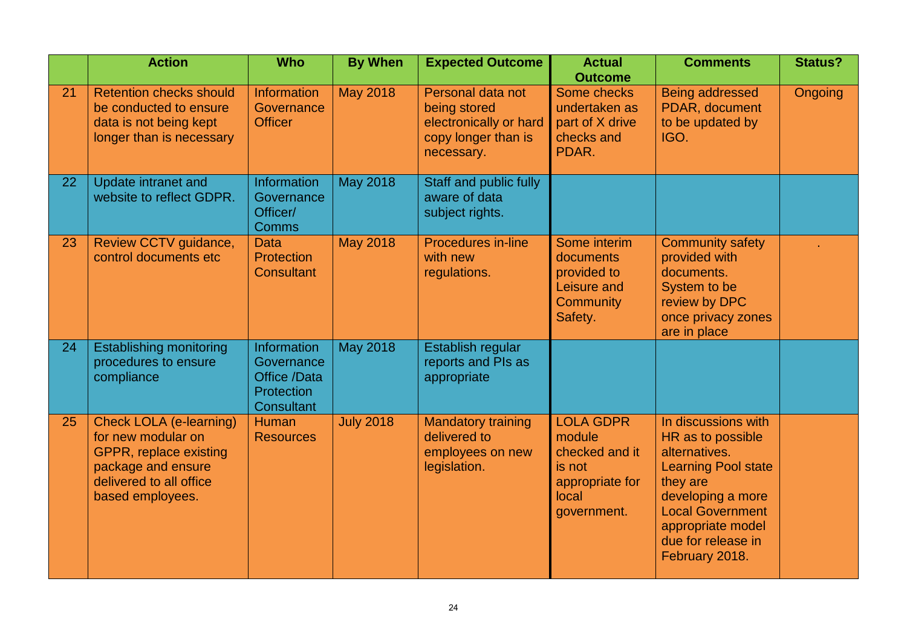|    | <b>Action</b>                                                                                                                                              | <b>Who</b>                                                                   | <b>By When</b>   | <b>Expected Outcome</b>                                                                          | <b>Actual</b><br><b>Outcome</b>                                                                   | <b>Comments</b>                                                                                                                                                                                                  | <b>Status?</b> |
|----|------------------------------------------------------------------------------------------------------------------------------------------------------------|------------------------------------------------------------------------------|------------------|--------------------------------------------------------------------------------------------------|---------------------------------------------------------------------------------------------------|------------------------------------------------------------------------------------------------------------------------------------------------------------------------------------------------------------------|----------------|
| 21 | <b>Retention checks should</b><br>be conducted to ensure<br>data is not being kept<br>longer than is necessary                                             | <b>Information</b><br>Governance<br><b>Officer</b>                           | <b>May 2018</b>  | Personal data not<br>being stored<br>electronically or hard<br>copy longer than is<br>necessary. | Some checks<br>undertaken as<br>part of X drive<br>checks and<br>PDAR.                            | Being addressed<br>PDAR, document<br>to be updated by<br>IGO.                                                                                                                                                    | Ongoing        |
| 22 | Update intranet and<br>website to reflect GDPR.                                                                                                            | Information<br>Governance<br>Officer/<br><b>Comms</b>                        | <b>May 2018</b>  | Staff and public fully<br>aware of data<br>subject rights.                                       |                                                                                                   |                                                                                                                                                                                                                  |                |
| 23 | Review CCTV guidance,<br>control documents etc                                                                                                             | <b>Data</b><br>Protection<br><b>Consultant</b>                               | <b>May 2018</b>  | <b>Procedures in-line</b><br>with new<br>regulations.                                            | Some interim<br>documents<br>provided to<br>Leisure and<br><b>Community</b><br>Safety.            | <b>Community safety</b><br>provided with<br>documents.<br>System to be<br>review by DPC<br>once privacy zones<br>are in place                                                                                    |                |
| 24 | <b>Establishing monitoring</b><br>procedures to ensure<br>compliance                                                                                       | Information<br>Governance<br>Office /Data<br>Protection<br><b>Consultant</b> | <b>May 2018</b>  | Establish regular<br>reports and PIs as<br>appropriate                                           |                                                                                                   |                                                                                                                                                                                                                  |                |
| 25 | <b>Check LOLA (e-learning)</b><br>for new modular on<br><b>GPPR, replace existing</b><br>package and ensure<br>delivered to all office<br>based employees. | <b>Human</b><br><b>Resources</b>                                             | <b>July 2018</b> | <b>Mandatory training</b><br>delivered to<br>employees on new<br>legislation.                    | <b>LOLA GDPR</b><br>module<br>checked and it<br>is not<br>appropriate for<br>local<br>government. | In discussions with<br>HR as to possible<br>alternatives.<br><b>Learning Pool state</b><br>they are<br>developing a more<br><b>Local Government</b><br>appropriate model<br>due for release in<br>February 2018. |                |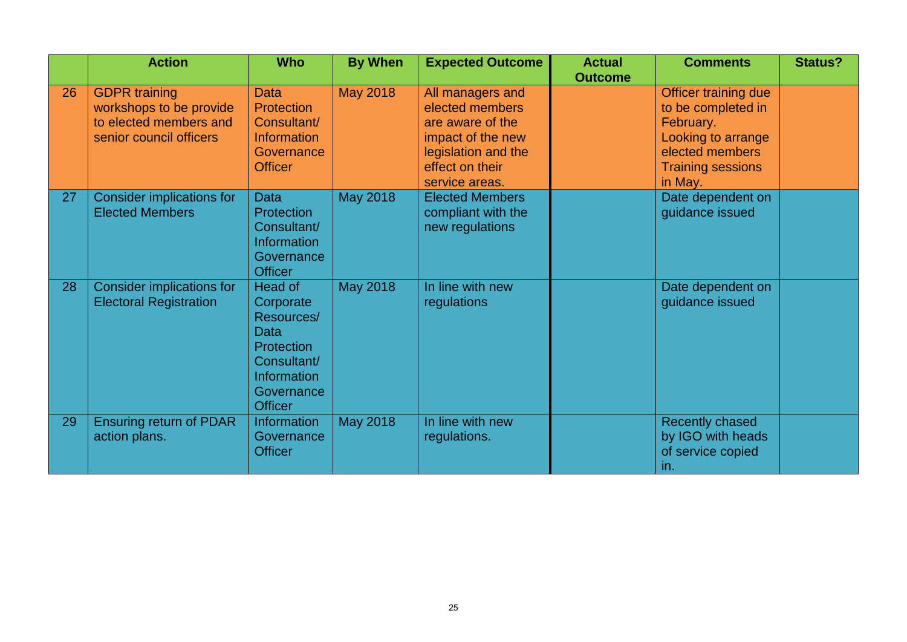|    | <b>Action</b>                    | <b>Who</b>         | <b>By When</b>  | <b>Expected Outcome</b> | <b>Actual</b>  | <b>Comments</b>          | <b>Status?</b> |
|----|----------------------------------|--------------------|-----------------|-------------------------|----------------|--------------------------|----------------|
|    |                                  |                    |                 |                         | <b>Outcome</b> |                          |                |
| 26 | <b>GDPR</b> training             | <b>Data</b>        | <b>May 2018</b> | All managers and        |                | Officer training due     |                |
|    | workshops to be provide          | <b>Protection</b>  |                 | elected members         |                | to be completed in       |                |
|    | to elected members and           | Consultant/        |                 | are aware of the        |                | February.                |                |
|    | senior council officers          | <b>Information</b> |                 | impact of the new       |                | Looking to arrange       |                |
|    |                                  | Governance         |                 | legislation and the     |                | elected members          |                |
|    |                                  | <b>Officer</b>     |                 | effect on their         |                | <b>Training sessions</b> |                |
|    |                                  |                    |                 | service areas.          |                | in May.                  |                |
| 27 | Consider implications for        | <b>Data</b>        | <b>May 2018</b> | <b>Elected Members</b>  |                | Date dependent on        |                |
|    | <b>Elected Members</b>           | <b>Protection</b>  |                 | compliant with the      |                | guidance issued          |                |
|    |                                  | Consultant/        |                 | new regulations         |                |                          |                |
|    |                                  | <b>Information</b> |                 |                         |                |                          |                |
|    |                                  | Governance         |                 |                         |                |                          |                |
|    |                                  | <b>Officer</b>     |                 |                         |                |                          |                |
| 28 | <b>Consider implications for</b> | Head of            | <b>May 2018</b> | In line with new        |                | Date dependent on        |                |
|    | <b>Electoral Registration</b>    | Corporate          |                 | regulations             |                | guidance issued          |                |
|    |                                  | Resources/         |                 |                         |                |                          |                |
|    |                                  | <b>Data</b>        |                 |                         |                |                          |                |
|    |                                  | Protection         |                 |                         |                |                          |                |
|    |                                  | Consultant/        |                 |                         |                |                          |                |
|    |                                  | Information        |                 |                         |                |                          |                |
|    |                                  | Governance         |                 |                         |                |                          |                |
|    |                                  | <b>Officer</b>     |                 |                         |                |                          |                |
| 29 | <b>Ensuring return of PDAR</b>   | <b>Information</b> | <b>May 2018</b> | In line with new        |                | Recently chased          |                |
|    | action plans.                    | Governance         |                 | regulations.            |                | by IGO with heads        |                |
|    |                                  | <b>Officer</b>     |                 |                         |                | of service copied        |                |
|    |                                  |                    |                 |                         |                | in.                      |                |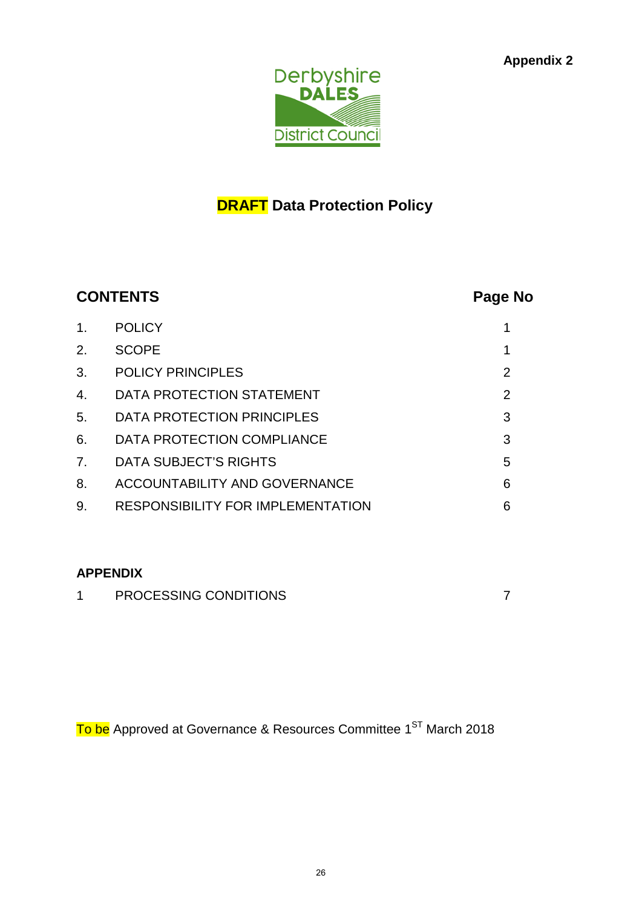

## **DRAFT Data Protection Policy**

| <b>CONTENTS</b>                          |                |  |  |  |  |
|------------------------------------------|----------------|--|--|--|--|
| <b>POLICY</b>                            | 1              |  |  |  |  |
| <b>SCOPE</b>                             | 1              |  |  |  |  |
| <b>POLICY PRINCIPLES</b>                 | $\overline{2}$ |  |  |  |  |
| DATA PROTECTION STATEMENT                | $\overline{2}$ |  |  |  |  |
| DATA PROTECTION PRINCIPLES               | 3              |  |  |  |  |
| DATA PROTECTION COMPLIANCE               | 3              |  |  |  |  |
| <b>DATA SUBJECT'S RIGHTS</b>             | 5              |  |  |  |  |
| <b>ACCOUNTABILITY AND GOVERNANCE</b>     | 6              |  |  |  |  |
| <b>RESPONSIBILITY FOR IMPLEMENTATION</b> | 6              |  |  |  |  |
|                                          |                |  |  |  |  |

## **APPENDIX**

| PROCESSING CONDITIONS |  |
|-----------------------|--|
|                       |  |

To be Approved at Governance & Resources Committee 1<sup>ST</sup> March 2018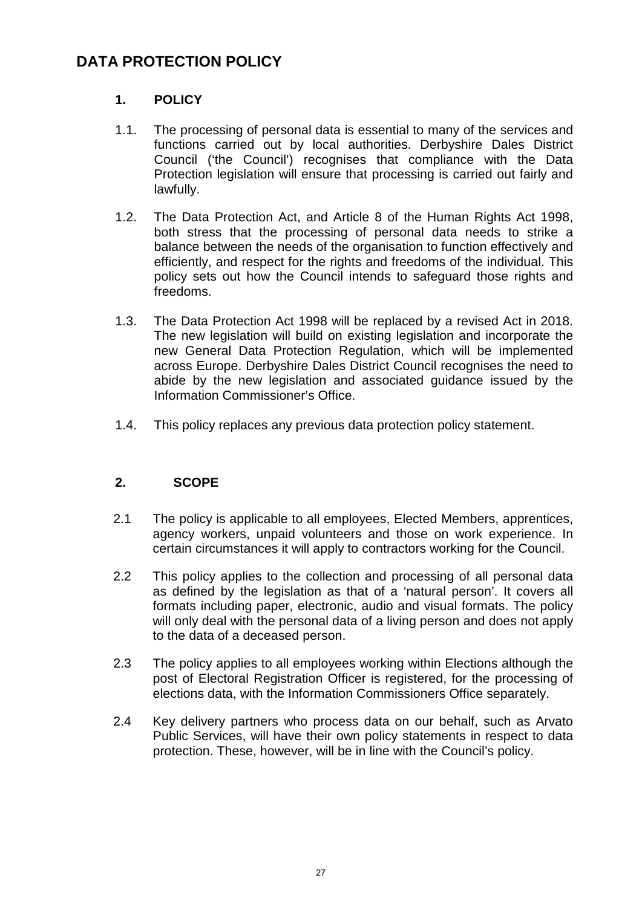## **DATA PROTECTION POLICY**

## **1. POLICY**

- 1.1. The processing of personal data is essential to many of the services and functions carried out by local authorities. Derbyshire Dales District Council ('the Council') recognises that compliance with the Data Protection legislation will ensure that processing is carried out fairly and lawfully.
- 1.2. The Data Protection Act, and Article 8 of the Human Rights Act 1998, both stress that the processing of personal data needs to strike a balance between the needs of the organisation to function effectively and efficiently, and respect for the rights and freedoms of the individual. This policy sets out how the Council intends to safeguard those rights and freedoms.
- 1.3. The Data Protection Act 1998 will be replaced by a revised Act in 2018. The new legislation will build on existing legislation and incorporate the new General Data Protection Regulation, which will be implemented across Europe. Derbyshire Dales District Council recognises the need to abide by the new legislation and associated guidance issued by the Information Commissioner's Office.
- 1.4. This policy replaces any previous data protection policy statement.

## **2. SCOPE**

- 2.1 The policy is applicable to all employees, Elected Members, apprentices, agency workers, unpaid volunteers and those on work experience. In certain circumstances it will apply to contractors working for the Council.
- 2.2 This policy applies to the collection and processing of all personal data as defined by the legislation as that of a 'natural person'. It covers all formats including paper, electronic, audio and visual formats. The policy will only deal with the personal data of a living person and does not apply to the data of a deceased person.
- 2.3 The policy applies to all employees working within Elections although the post of Electoral Registration Officer is registered, for the processing of elections data, with the Information Commissioners Office separately.
- 2.4 Key delivery partners who process data on our behalf, such as Arvato Public Services, will have their own policy statements in respect to data protection. These, however, will be in line with the Council's policy.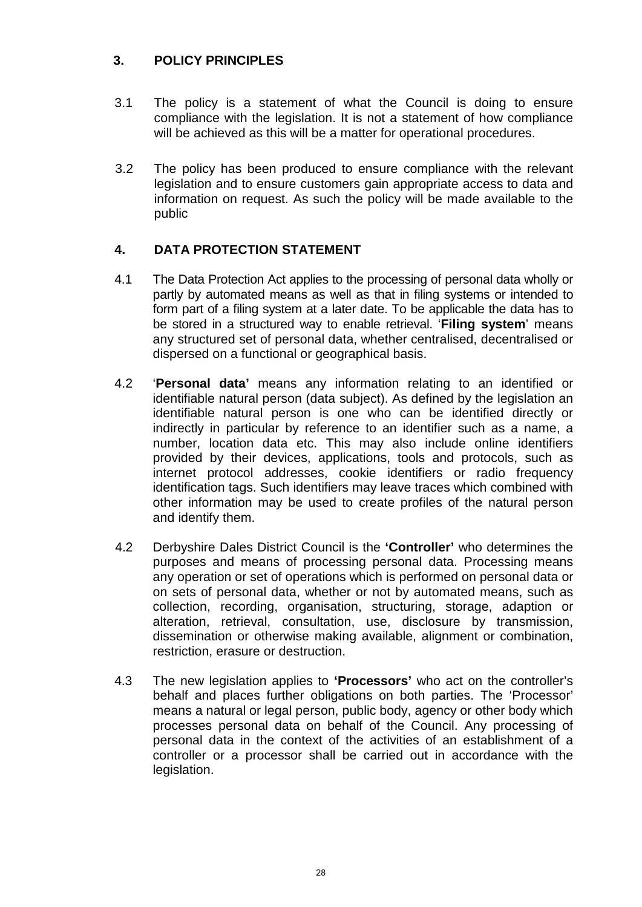## **3. POLICY PRINCIPLES**

- 3.1 The policy is a statement of what the Council is doing to ensure compliance with the legislation. It is not a statement of how compliance will be achieved as this will be a matter for operational procedures.
- 3.2 The policy has been produced to ensure compliance with the relevant legislation and to ensure customers gain appropriate access to data and information on request. As such the policy will be made available to the public

## **4. DATA PROTECTION STATEMENT**

- 4.1 The Data Protection Act applies to the processing of personal data wholly or partly by automated means as well as that in filing systems or intended to form part of a filing system at a later date. To be applicable the data has to be stored in a structured way to enable retrieval. '**Filing system**' means any structured set of personal data, whether centralised, decentralised or dispersed on a functional or geographical basis.
- 4.2 '**Personal data'** means any information relating to an identified or identifiable natural person (data subject). As defined by the legislation an identifiable natural person is one who can be identified directly or indirectly in particular by reference to an identifier such as a name, a number, location data etc. This may also include online identifiers provided by their devices, applications, tools and protocols, such as internet protocol addresses, cookie identifiers or radio frequency identification tags. Such identifiers may leave traces which combined with other information may be used to create profiles of the natural person and identify them.
- 4.2 Derbyshire Dales District Council is the **'Controller'** who determines the purposes and means of processing personal data. Processing means any operation or set of operations which is performed on personal data or on sets of personal data, whether or not by automated means, such as collection, recording, organisation, structuring, storage, adaption or alteration, retrieval, consultation, use, disclosure by transmission, dissemination or otherwise making available, alignment or combination, restriction, erasure or destruction.
- 4.3 The new legislation applies to **'Processors'** who act on the controller's behalf and places further obligations on both parties. The 'Processor' means a natural or legal person, public body, agency or other body which processes personal data on behalf of the Council. Any processing of personal data in the context of the activities of an establishment of a controller or a processor shall be carried out in accordance with the legislation.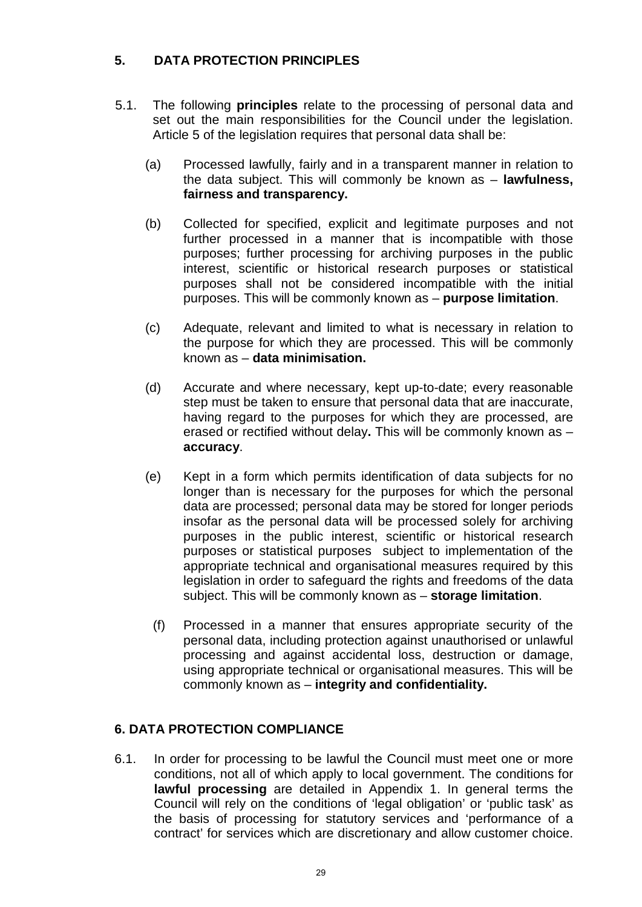## **5. DATA PROTECTION PRINCIPLES**

- 5.1. The following **principles** relate to the processing of personal data and set out the main responsibilities for the Council under the legislation. Article 5 of the legislation requires that personal data shall be:
	- (a) Processed lawfully, fairly and in a transparent manner in relation to the data subject. This will commonly be known as – **lawfulness, fairness and transparency.**
	- (b) Collected for specified, explicit and legitimate purposes and not further processed in a manner that is incompatible with those purposes; further processing for archiving purposes in the public interest, scientific or historical research purposes or statistical purposes shall not be considered incompatible with the initial purposes. This will be commonly known as – **purpose limitation**.
	- (c) Adequate, relevant and limited to what is necessary in relation to the purpose for which they are processed. This will be commonly known as – **data minimisation.**
	- (d) Accurate and where necessary, kept up-to-date; every reasonable step must be taken to ensure that personal data that are inaccurate, having regard to the purposes for which they are processed, are erased or rectified without delay**.** This will be commonly known as – **accuracy**.
	- (e) Kept in a form which permits identification of data subjects for no longer than is necessary for the purposes for which the personal data are processed; personal data may be stored for longer periods insofar as the personal data will be processed solely for archiving purposes in the public interest, scientific or historical research purposes or statistical purposes subject to implementation of the appropriate technical and organisational measures required by this legislation in order to safeguard the rights and freedoms of the data subject. This will be commonly known as – **storage limitation**.
		- (f) Processed in a manner that ensures appropriate security of the personal data, including protection against unauthorised or unlawful processing and against accidental loss, destruction or damage, using appropriate technical or organisational measures. This will be commonly known as – **integrity and confidentiality.**

## **6. DATA PROTECTION COMPLIANCE**

6.1. In order for processing to be lawful the Council must meet one or more conditions, not all of which apply to local government. The conditions for **lawful processing** are detailed in Appendix 1. In general terms the Council will rely on the conditions of 'legal obligation' or 'public task' as the basis of processing for statutory services and 'performance of a contract' for services which are discretionary and allow customer choice.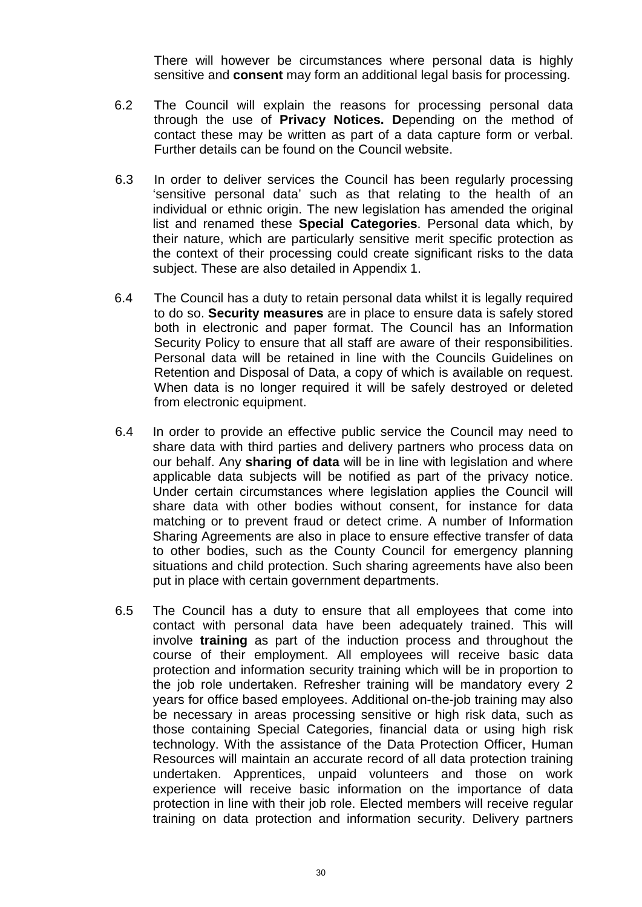There will however be circumstances where personal data is highly sensitive and **consent** may form an additional legal basis for processing.

- 6.2 The Council will explain the reasons for processing personal data through the use of **Privacy Notices. D**epending on the method of contact these may be written as part of a data capture form or verbal. Further details can be found on the Council website.
- 6.3 In order to deliver services the Council has been regularly processing 'sensitive personal data' such as that relating to the health of an individual or ethnic origin. The new legislation has amended the original list and renamed these **Special Categories**. Personal data which, by their nature, which are particularly sensitive merit specific protection as the context of their processing could create significant risks to the data subject. These are also detailed in Appendix 1.
- 6.4 The Council has a duty to retain personal data whilst it is legally required to do so. **Security measures** are in place to ensure data is safely stored both in electronic and paper format. The Council has an Information Security Policy to ensure that all staff are aware of their responsibilities. Personal data will be retained in line with the Councils Guidelines on Retention and Disposal of Data, a copy of which is available on request. When data is no longer required it will be safely destroyed or deleted from electronic equipment.
- 6.4 In order to provide an effective public service the Council may need to share data with third parties and delivery partners who process data on our behalf. Any **sharing of data** will be in line with legislation and where applicable data subjects will be notified as part of the privacy notice. Under certain circumstances where legislation applies the Council will share data with other bodies without consent, for instance for data matching or to prevent fraud or detect crime. A number of Information Sharing Agreements are also in place to ensure effective transfer of data to other bodies, such as the County Council for emergency planning situations and child protection. Such sharing agreements have also been put in place with certain government departments.
- 6.5 The Council has a duty to ensure that all employees that come into contact with personal data have been adequately trained. This will involve **training** as part of the induction process and throughout the course of their employment. All employees will receive basic data protection and information security training which will be in proportion to the job role undertaken. Refresher training will be mandatory every 2 years for office based employees. Additional on-the-job training may also be necessary in areas processing sensitive or high risk data, such as those containing Special Categories, financial data or using high risk technology. With the assistance of the Data Protection Officer, Human Resources will maintain an accurate record of all data protection training undertaken. Apprentices, unpaid volunteers and those on work experience will receive basic information on the importance of data protection in line with their job role. Elected members will receive regular training on data protection and information security. Delivery partners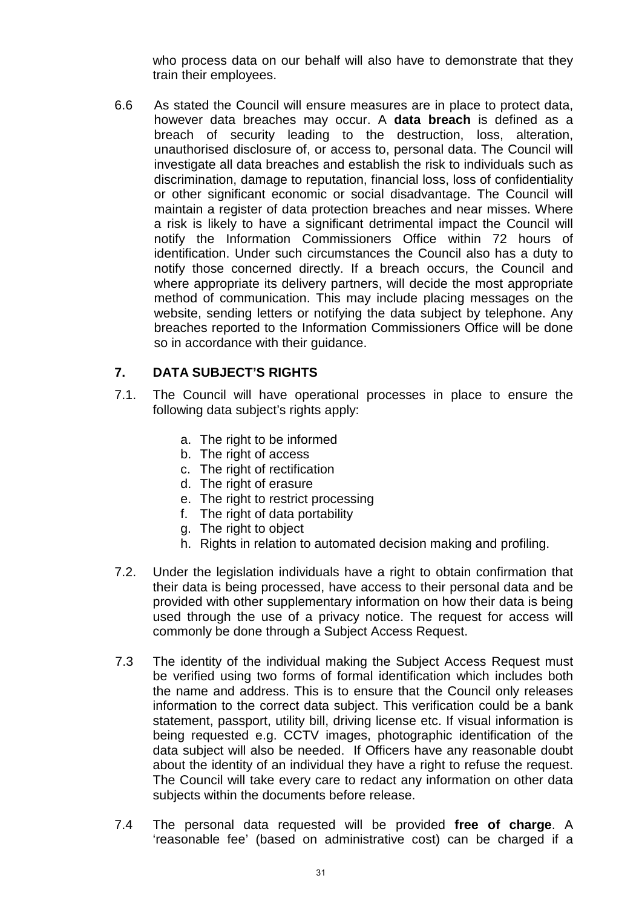who process data on our behalf will also have to demonstrate that they train their employees.

6.6 As stated the Council will ensure measures are in place to protect data, however data breaches may occur. A **data breach** is defined as a breach of security leading to the destruction, loss, alteration, unauthorised disclosure of, or access to, personal data. The Council will investigate all data breaches and establish the risk to individuals such as discrimination, damage to reputation, financial loss, loss of confidentiality or other significant economic or social disadvantage. The Council will maintain a register of data protection breaches and near misses. Where a risk is likely to have a significant detrimental impact the Council will notify the Information Commissioners Office within 72 hours of identification. Under such circumstances the Council also has a duty to notify those concerned directly. If a breach occurs, the Council and where appropriate its delivery partners, will decide the most appropriate method of communication. This may include placing messages on the website, sending letters or notifying the data subject by telephone. Any breaches reported to the Information Commissioners Office will be done so in accordance with their guidance.

## **7. DATA SUBJECT'S RIGHTS**

- 7.1. The Council will have operational processes in place to ensure the following data subject's rights apply:
	- a. The right to be informed
	- b. The right of access
	- c. The right of rectification
	- d. The right of erasure
	- e. The right to restrict processing
	- f. The right of data portability
	- g. The right to object
	- h. Rights in relation to automated decision making and profiling.
- 7.2. Under the legislation individuals have a right to obtain confirmation that their data is being processed, have access to their personal data and be provided with other supplementary information on how their data is being used through the use of a privacy notice. The request for access will commonly be done through a Subject Access Request.
- 7.3 The identity of the individual making the Subject Access Request must be verified using two forms of formal identification which includes both the name and address. This is to ensure that the Council only releases information to the correct data subject. This verification could be a bank statement, passport, utility bill, driving license etc. If visual information is being requested e.g. CCTV images, photographic identification of the data subject will also be needed. If Officers have any reasonable doubt about the identity of an individual they have a right to refuse the request. The Council will take every care to redact any information on other data subjects within the documents before release.
- 7.4 The personal data requested will be provided **free of charge**. A 'reasonable fee' (based on administrative cost) can be charged if a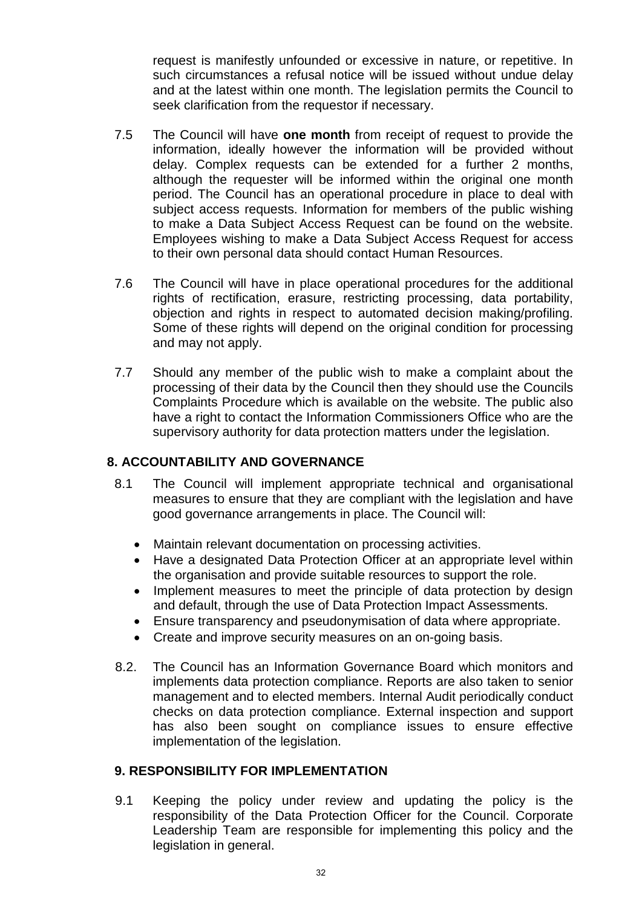request is manifestly unfounded or excessive in nature, or repetitive. In such circumstances a refusal notice will be issued without undue delay and at the latest within one month. The legislation permits the Council to seek clarification from the requestor if necessary.

- 7.5 The Council will have **one month** from receipt of request to provide the information, ideally however the information will be provided without delay. Complex requests can be extended for a further 2 months, although the requester will be informed within the original one month period. The Council has an operational procedure in place to deal with subject access requests. Information for members of the public wishing to make a Data Subject Access Request can be found on the website. Employees wishing to make a Data Subject Access Request for access to their own personal data should contact Human Resources.
- 7.6 The Council will have in place operational procedures for the additional rights of rectification, erasure, restricting processing, data portability, objection and rights in respect to automated decision making/profiling. Some of these rights will depend on the original condition for processing and may not apply.
- 7.7 Should any member of the public wish to make a complaint about the processing of their data by the Council then they should use the Councils Complaints Procedure which is available on the website. The public also have a right to contact the Information Commissioners Office who are the supervisory authority for data protection matters under the legislation.

#### **8. ACCOUNTABILITY AND GOVERNANCE**

- 8.1 The Council will implement appropriate technical and organisational measures to ensure that they are compliant with the legislation and have good governance arrangements in place. The Council will:
	- Maintain relevant documentation on processing activities.
	- Have a designated Data Protection Officer at an appropriate level within the organisation and provide suitable resources to support the role.
	- Implement measures to meet the principle of data protection by design and default, through the use of Data Protection Impact Assessments.
	- Ensure transparency and pseudonymisation of data where appropriate.
	- Create and improve security measures on an on-going basis.
- 8.2. The Council has an Information Governance Board which monitors and implements data protection compliance. Reports are also taken to senior management and to elected members. Internal Audit periodically conduct checks on data protection compliance. External inspection and support has also been sought on compliance issues to ensure effective implementation of the legislation.

#### **9. RESPONSIBILITY FOR IMPLEMENTATION**

9.1 Keeping the policy under review and updating the policy is the responsibility of the Data Protection Officer for the Council. Corporate Leadership Team are responsible for implementing this policy and the legislation in general.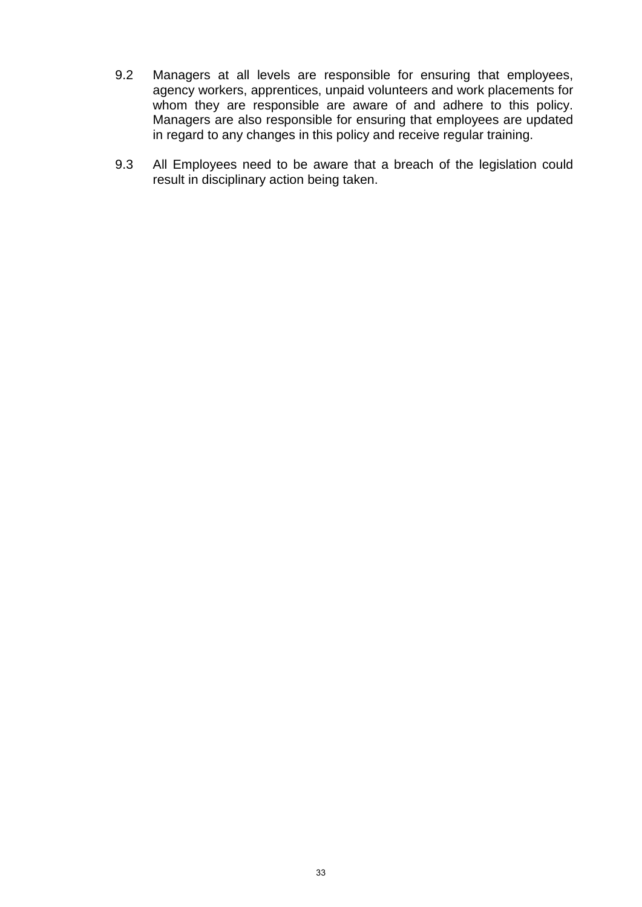- 9.2 Managers at all levels are responsible for ensuring that employees, agency workers, apprentices, unpaid volunteers and work placements for whom they are responsible are aware of and adhere to this policy. Managers are also responsible for ensuring that employees are updated in regard to any changes in this policy and receive regular training.
- 9.3 All Employees need to be aware that a breach of the legislation could result in disciplinary action being taken.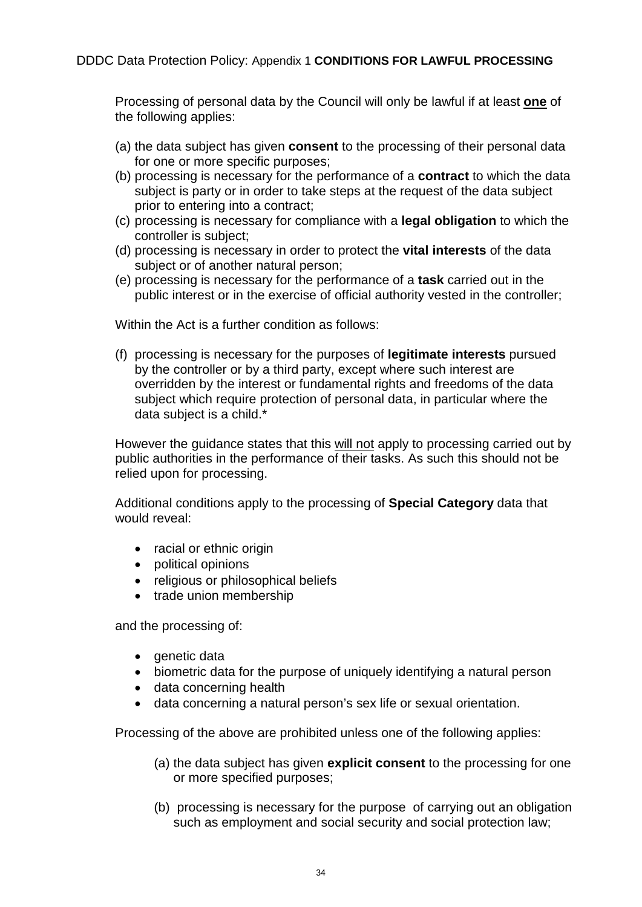Processing of personal data by the Council will only be lawful if at least **one** of the following applies:

- (a) the data subject has given **consent** to the processing of their personal data for one or more specific purposes;
- (b) processing is necessary for the performance of a **contract** to which the data subject is party or in order to take steps at the request of the data subject prior to entering into a contract;
- (c) processing is necessary for compliance with a **legal obligation** to which the controller is subject;
- (d) processing is necessary in order to protect the **vital interests** of the data subject or of another natural person;
- (e) processing is necessary for the performance of a **task** carried out in the public interest or in the exercise of official authority vested in the controller;

Within the Act is a further condition as follows:

(f) processing is necessary for the purposes of **legitimate interests** pursued by the controller or by a third party, except where such interest are overridden by the interest or fundamental rights and freedoms of the data subject which require protection of personal data, in particular where the data subject is a child.\*

However the guidance states that this will not apply to processing carried out by public authorities in the performance of their tasks. As such this should not be relied upon for processing.

Additional conditions apply to the processing of **Special Category** data that would reveal:

- racial or ethnic origin
- political opinions
- religious or philosophical beliefs
- trade union membership

and the processing of:

- genetic data
- biometric data for the purpose of uniquely identifying a natural person
- data concerning health
- data concerning a natural person's sex life or sexual orientation.

Processing of the above are prohibited unless one of the following applies:

- (a) the data subject has given **explicit consent** to the processing for one or more specified purposes;
- (b) processing is necessary for the purpose of carrying out an obligation such as employment and social security and social protection law;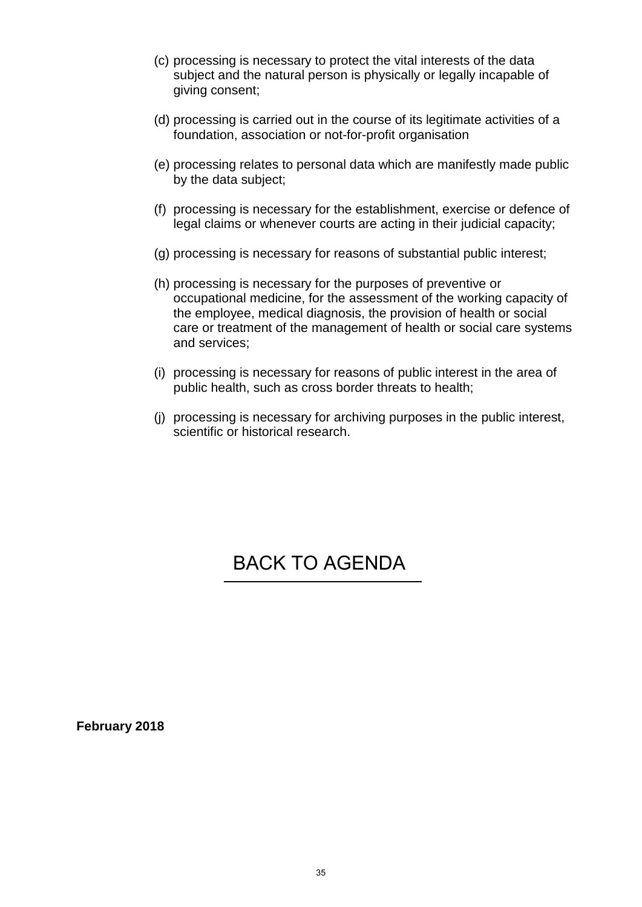- (c) processing is necessary to protect the vital interests of the data subject and the natural person is physically or legally incapable of giving consent;
- (d) processing is carried out in the course of its legitimate activities of a foundation, association or not-for-profit organisation
- (e) processing relates to personal data which are manifestly made public by the data subject;
- (f) processing is necessary for the establishment, exercise or defence of legal claims or whenever courts are acting in their judicial capacity;
- (g) processing is necessary for reasons of substantial public interest;
- (h) processing is necessary for the purposes of preventive or occupational medicine, for the assessment of the working capacity of the employee, medical diagnosis, the provision of health or social care or treatment of the management of health or social care systems and services;
- (i) processing is necessary for reasons of public interest in the area of public health, such as cross border threats to health;
- (j) processing is necessary for archiving purposes in the public interest, scientific or historical research.

## [BACK TO AGENDA](#page-1-0)

**February 2018**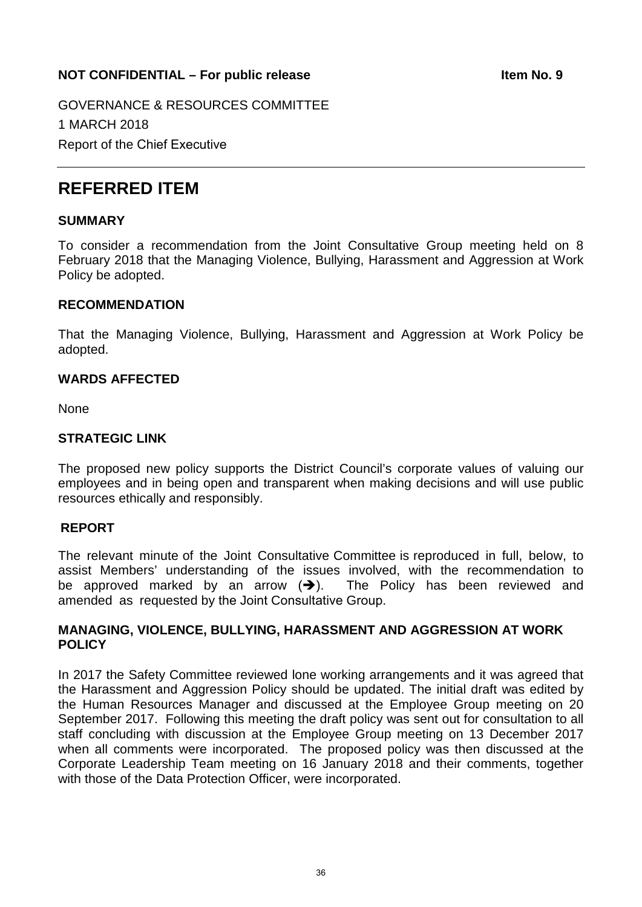## <span id="page-35-0"></span>**NOT CONFIDENTIAL – For public release Internal contract and the Item No. 9**

GOVERNANCE & RESOURCES COMMITTEE 1 MARCH 2018 Report of the Chief Executive

## **REFERRED ITEM**

#### **SUMMARY**

To consider a recommendation from the Joint Consultative Group meeting held on 8 February 2018 that the Managing Violence, Bullying, Harassment and Aggression at Work Policy be adopted.

#### **RECOMMENDATION**

That the Managing Violence, Bullying, Harassment and Aggression at Work Policy be adopted.

#### **WARDS AFFECTED**

None

#### **STRATEGIC LINK**

The proposed new policy supports the District Council's corporate values of valuing our employees and in being open and transparent when making decisions and will use public resources ethically and responsibly.

#### **REPORT**

The relevant minute of the Joint Consultative Committee is reproduced in full, below, to assist Members' understanding of the issues involved, with the recommendation to be approved marked by an arrow  $(\rightarrow)$ . The Policy has been reviewed and amended as requested by the Joint Consultative Group.

#### **MANAGING, VIOLENCE, BULLYING, HARASSMENT AND AGGRESSION AT WORK POLICY**

In 2017 the Safety Committee reviewed lone working arrangements and it was agreed that the Harassment and Aggression Policy should be updated. The initial draft was edited by the Human Resources Manager and discussed at the Employee Group meeting on 20 September 2017. Following this meeting the draft policy was sent out for consultation to all staff concluding with discussion at the Employee Group meeting on 13 December 2017 when all comments were incorporated. The proposed policy was then discussed at the Corporate Leadership Team meeting on 16 January 2018 and their comments, together with those of the Data Protection Officer, were incorporated.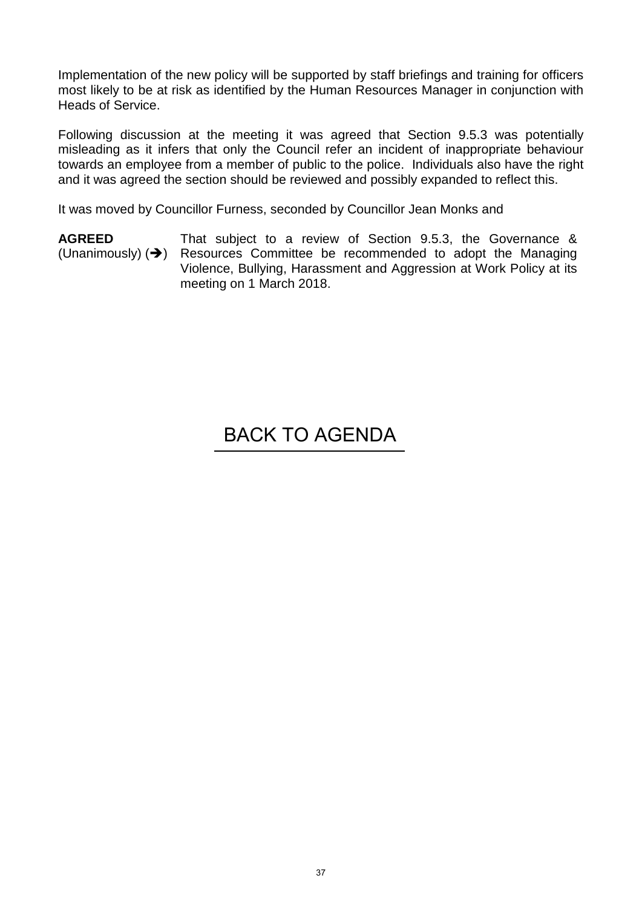Implementation of the new policy will be supported by staff briefings and training for officers most likely to be at risk as identified by the Human Resources Manager in conjunction with Heads of Service.

Following discussion at the meeting it was agreed that Section 9.5.3 was potentially misleading as it infers that only the Council refer an incident of inappropriate behaviour towards an employee from a member of public to the police. Individuals also have the right and it was agreed the section should be reviewed and possibly expanded to reflect this.

It was moved by Councillor Furness, seconded by Councillor Jean Monks and

**AGREED**  (Unanimously)  $(\rightarrow)$ That subject to a review of Section 9.5.3, the Governance & Resources Committee be recommended to adopt the Managing Violence, Bullying, Harassment and Aggression at Work Policy at its meeting on 1 March 2018.

# [BACK TO AGENDA](#page-1-0)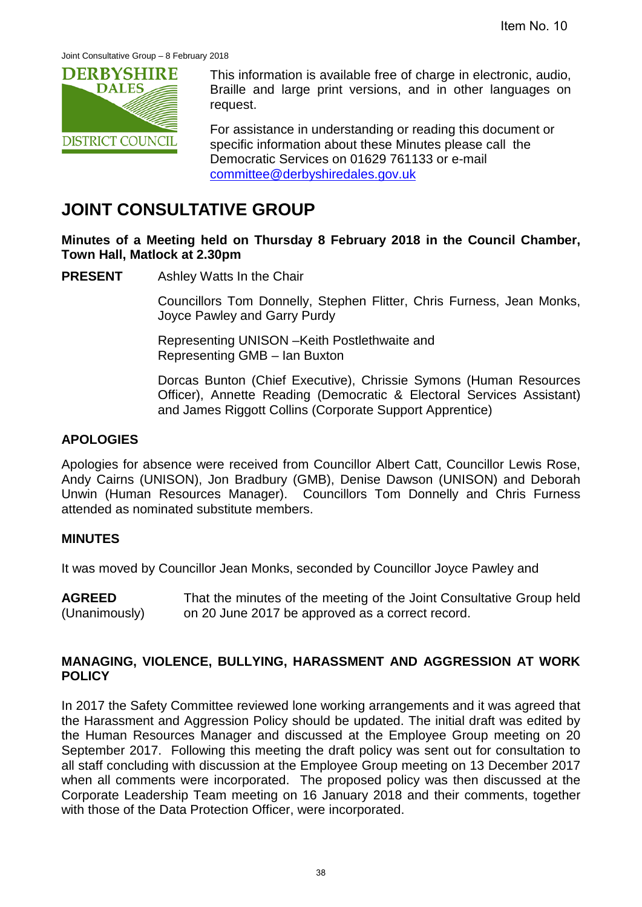<span id="page-37-0"></span>

This information is available free of charge in electronic, audio, Braille and large print versions, and in other languages on request.

For assistance in understanding or reading this document or specific information about these Minutes please call the Democratic Services on 01629 761133 or e-mail [committee@derbyshiredales.gov.uk](mailto:chris.laver@derbyshiredales.gov.uk)

## **JOINT CONSULTATIVE GROUP**

**Minutes of a Meeting held on Thursday 8 February 2018 in the Council Chamber, Town Hall, Matlock at 2.30pm**

#### **PRESENT** Ashley Watts In the Chair

Councillors Tom Donnelly, Stephen Flitter, Chris Furness, Jean Monks, Joyce Pawley and Garry Purdy

Representing UNISON –Keith Postlethwaite and Representing GMB – Ian Buxton

Dorcas Bunton (Chief Executive), Chrissie Symons (Human Resources Officer), Annette Reading (Democratic & Electoral Services Assistant) and James Riggott Collins (Corporate Support Apprentice)

#### **APOLOGIES**

Apologies for absence were received from Councillor Albert Catt, Councillor Lewis Rose, Andy Cairns (UNISON), Jon Bradbury (GMB), Denise Dawson (UNISON) and Deborah Unwin (Human Resources Manager). Councillors Tom Donnelly and Chris Furness attended as nominated substitute members.

#### **MINUTES**

It was moved by Councillor Jean Monks, seconded by Councillor Joyce Pawley and

**AGREED**  (Unanimously) That the minutes of the meeting of the Joint Consultative Group held on 20 June 2017 be approved as a correct record.

#### **MANAGING, VIOLENCE, BULLYING, HARASSMENT AND AGGRESSION AT WORK POLICY**

In 2017 the Safety Committee reviewed lone working arrangements and it was agreed that the Harassment and Aggression Policy should be updated. The initial draft was edited by the Human Resources Manager and discussed at the Employee Group meeting on 20 September 2017. Following this meeting the draft policy was sent out for consultation to all staff concluding with discussion at the Employee Group meeting on 13 December 2017 when all comments were incorporated. The proposed policy was then discussed at the Corporate Leadership Team meeting on 16 January 2018 and their comments, together with those of the Data Protection Officer, were incorporated.